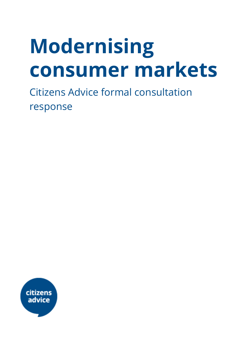# **Modernising consumer markets**

Citizens Advice formal consultation response

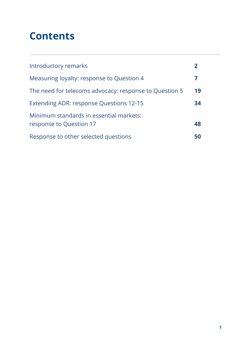# **Contents**

| Introductory remarks                                               | 2  |
|--------------------------------------------------------------------|----|
| Measuring loyalty: response to Question 4                          | 7  |
| The need for telecoms advocacy: response to Question 5             | 19 |
| Extending ADR: response Questions 12-15                            | 34 |
| Minimum standards in essential markets:<br>response to Question 17 | 48 |
| Response to other selected questions                               | 50 |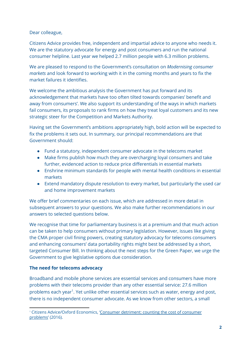#### Dear colleague,

Citizens Advice provides free, independent and impartial advice to anyone who needs it. We are the statutory advocate for energy and post consumers and run the national consumer helpline. Last year we helped 2.7 million people with 6.3 million problems.

We are pleased to respond to the Government's consultation on *Modernising consumer markets* and look forward to working with it in the coming months and years to fix the market failures it identifies.

We welcome the ambitious analysis the Government has put forward and its acknowledgement that markets have too often tilted towards companies' benefit and away from consumers'. We also support its understanding of the ways in which markets fail consumers, its proposals to rank firms on how they treat loyal customers and its new strategic steer for the Competition and Markets Authority.

Having set the Government's ambitions appropriately high, bold action will be expected to fix the problems it sets out. In summary, our principal recommendations are that Government should:

- Fund a statutory, independent consumer advocate in the telecoms market
- Make firms publish how much they are overcharging loyal consumers and take further, evidenced action to reduce price differentials in essential markets
- Enshrine minimum standards for people with mental health conditions in essential markets
- Extend mandatory dispute resolution to every market, but particularly the used car and home improvement markets

We offer brief commentaries on each issue, which are addressed in more detail in subsequent answers to your questions. We also make further recommendations in our answers to selected questions below.

We recognise that time for parliamentary business is at a premium and that much action can be taken to help consumers without primary legislation. However, issues like giving the CMA proper civil fining powers, creating statutory advocacy for telecoms consumers and enhancing consumers' data portability rights might best be addressed by a short, targeted Consumer Bill. In thinking about the next steps for the Green Paper, we urge the Government to give legislative options due consideration.

#### **The need for telecoms advocacy**

Broadband and mobile phone services are essential services and consumers have more problems with their telecoms provider than any other essential service: 27.6 million problems each year<sup>1</sup>. Yet unlike other essential services such as water, energy and post, there is no independent consumer advocate. As we know from other sectors, a small

<sup>1</sup> Citizens Advice/Oxford Economics, 'Consumer [detriment:](https://www.citizensadvice.org.uk/about-us/policy/policy-research-topics/consumer-policy-research/consumer-policy-research/consumer-detriment-counting-the-cost-of-consumer-problems/) counting the cost of consumer [problems'](https://www.citizensadvice.org.uk/about-us/policy/policy-research-topics/consumer-policy-research/consumer-policy-research/consumer-detriment-counting-the-cost-of-consumer-problems/) (2016).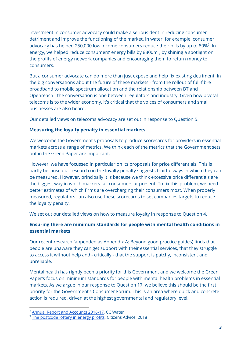investment in consumer advocacy could make a serious dent in reducing consumer detriment and improve the functioning of the market. In water, for example, consumer advocacy has helped 250,000 low income consumers reduce their bills by up to 80% $^2$ . In energy, we helped reduce consumers' energy bills by  $£300m<sup>3</sup>$ , by shining a spotlight on the profits of energy network companies and encouraging them to return money to consumers.

But a consumer advocate can do more than just expose and help fix existing detriment. In the big conversations about the future of these markets - from the rollout of full-fibre broadband to mobile spectrum allocation and the relationship between BT and Openreach - the conversation is one between regulators and industry. Given how pivotal telecoms is to the wider economy, it's critical that the voices of consumers and small businesses are also heard.

Our detailed views on telecoms advocacy are set out in response to Question 5.

#### **Measuring the loyalty penalty in essential markets**

We welcome the Government's proposals to produce scorecards for providers in essential markets across a range of metrics. We think each of the metrics that the Government sets out in the Green Paper are important.

However, we have focussed in particular on its proposals for price differentials. This is partly because our research on the loyalty penalty suggests fruitful ways in which they can be measured. However, principally it is because we think excessive price differentials are the biggest way in which markets fail consumers at present. To fix this problem, we need better estimates of which firms are overcharging their consumers most. When properly measured, regulators can also use these scorecards to set companies targets to reduce the loyalty penalty.

We set out our detailed views on how to measure loyalty in response to Question 4.

#### **Ensuring there are minimum standards for people with mental health conditions in essential markets**

Our recent research (appended as Appendix A: Beyond good practice guides) finds that people are unaware they can get support with their essential services, that they struggle to access it without help and - critically - that the support is patchy, inconsistent and unreliable.

Mental health has rightly been a priority for this Government and we welcome the Green Paper's focus on minimum standards for people with mental health problems in essential markets. As we argue in our response to Question 17, we believe this should be the first priority for the Government's Consumer Forum. This is an area where quick and concrete action is required, driven at the highest governmental and regulatory level.

<sup>&</sup>lt;sup>2</sup> Annual Report and [Accounts](https://www.ccwater.org.uk/wp-content/uploads/2017/07/Annual-Report-and-Accounts-2016-17.pdf) 2016-17, CC Water

<sup>&</sup>lt;sup>3</sup> The [postcode](https://www.citizensadvice.org.uk/about-us/policy/policy-research-topics/energy-policy-research-and-consultation-responses/energy-policy-research/the-postcode-lottery-in-energy-profits-a-regional-update-of-energy-consumers-missing-billions/) lottery in energy profits, Citizens Advice, 2018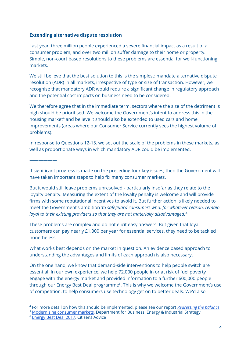#### **Extending alternative dispute resolution**

Last year, three million people experienced a severe financial impact as a result of a consumer problem, and over two million suffer damage to their home or property. Simple, non-court based resolutions to these problems are essential for well-functioning markets.

We still believe that the best solution to this is the simplest: mandate alternative dispute resolution (ADR) in all markets, irrespective of type or size of transaction. However, we recognise that mandatory ADR would require a significant change in regulatory approach and the potential cost impacts on business need to be considered.

We therefore agree that in the immediate term, sectors where the size of the detriment is high should be prioritised. We welcome the Government's intent to address this in the housing market<sup>4</sup> and believe it should also be extended to used cars and home improvements (areas where our Consumer Service currently sees the highest volume of problems).

In response to Questions 12-15*,* we set out the scale of the problems in these markets, as well as proportionate ways in which mandatory ADR could be implemented.

——————

If significant progress is made on the preceding four key issues, then the Government will have taken important steps to help fix many consumer markets.

But it would still leave problems unresolved - particularly insofar as they relate to the loyalty penalty. Measuring the extent of the loyalty penalty is welcome and will provide firms with some reputational incentives to avoid it. But further action is likely needed to meet the Government's ambition *'to safeguard consumers who, for whatever reason, remain loyal to their existing providers so that they are not materially disadvantaged.' 5*

These problems are complex and do not elicit easy answers. But given that loyal customers can pay nearly £1,000 per year for essential services, they need to be tackled nonetheless.

What works best depends on the market in question. An evidence based approach to understanding the advantages and limits of each approach is also necessary.

On the one hand, we know that demand-side interventions to help people switch are essential. In our own experience, we help 72,000 people in or at risk of fuel poverty engage with the energy market and provided information to a further 600,000 people through our Energy Best Deal programme<sup>6</sup>. This is why we welcome the Government's use of competition, to help consumers use technology get on to better deals. We'd also

<sup>5</sup> [Modernising](https://assets.publishing.service.gov.uk/government/uploads/system/uploads/attachment_data/file/699937/modernising-consumer-markets-green-paper.pdf) consumer markets, Department for Business, Energy & Industrial Strategy

<sup>4</sup> For more detail on how this should be implemented, please see our report *[Redressing](https://www.citizensadvice.org.uk/Global/CitizensAdvice/Housing%20Publications/Citizens%20Advice-Redressing%20the%20balance.pdf) the balance*

<sup>6</sup> [Energy](https://www.citizensadvice.org.uk/about-us/how-we-provide-advice/our-prevention-work/energy-best-deal1/) Best Deal 2017, Citizens Advice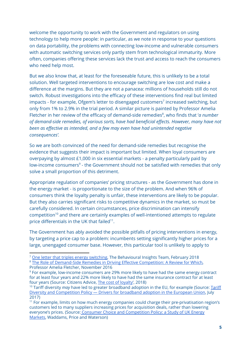welcome the opportunity to work with the Government and regulators on using technology to help more people: in particular, as we note in response to your questions on data portability, the problems with connecting low-income and vulnerable consumers with automatic switching services only partly stem from technological immaturity. More often, companies offering these services lack the trust and access to reach the consumers who need help most.

But we also know that, at least for the foreseeable future, this is unlikely to be a total solution. Well targeted interventions to encourage switching are low cost and make a difference at the margins. But they are not a panacea: millions of households still do not switch. Robust investigations into the efficacy of these interventions find real but limited impacts - for example, Ofgem's letter to disengaged customers<sup>7</sup> increased switching, but only from 1% to 2.9% in the trial period. A similar picture is painted by Professor Amelia Fletcher in her review of the efficacy of demand-side remedies<sup>8</sup>, who finds that '*a number of demand-side remedies, of various sorts, have had beneficial effects. However, many have not been as effective as intended, and a few may even have had unintended negative consequences'.*

So we are both convinced of the need for demand-side remedies but recognise the evidence that suggests their impact is important but limited. When loyal consumers are overpaying by almost £1,000 in six essential markets - a penalty particularly paid by low-income consumers<sup>9</sup> - the Government should not be satisfied with remedies that only solve a small proportion of this detriment.

Appropriate regulation of companies' pricing structures - as the Government has done in the energy market - is proportionate to the size of the problem. And when 96% of consumers think the loyalty penalty is unfair, these interventions are likely to be popular. But they also carries significant risks to competitive dynamics in the market, so must be carefully considered. In certain circumstances, price discrimination can intensify  $competition<sup>10</sup>$  and there are certainly examples of well-intentioned attempts to regulate price differentials in the UK that failed $11$ .

The Government has ably avoided the possible pitfalls of pricing interventions in energy, by targeting a price cap to a problem: incumbents setting significantly higher prices for a large, unengaged consumer base. However, this particular tool is unlikely to apply to

 $7$  One letter that triples energy [switching](https://www.behaviouralinsights.co.uk/energy-and-sustainability/one-letter-that-triples-energy-switching/), The Behavioural Insights Team, February 2018 <sup>8</sup> The Role of [Demand-Side](https://www.staticwhich.co.uk/documents/pdf/the-role-of-demand-side-remedies-in-driving-effective-competition-456067.pdf) Remedies in Driving Effective Competition: A Review for Which, Professor Amelia Fletcher, November 2016

<sup>&</sup>lt;sup>9</sup> For example, low-income consumers are 29% more likely to have had the same energy contract for at least four years and 22% more likely to have had the same insurance contract for at least four years (Source: Citizens Advice, The cost of [loyalty](https://www.citizensadvice.org.uk/Global/CitizensAdvice/Consumer%20publications/Cross-sector%20loyalty%20penalty%20report%20-%20VERY%20FINAL%20VERSION.pdf)', 2018)

<sup>&</sup>lt;sup>10</sup> [Tariff](http://www.dice.hhu.de/fileadmin/redaktion/Fakultaeten/Wirtschaftswissenschaftliche_Fakultaet/DICE/Discussion_Paper/262_Lange.pdf) diversity *may* have led to greater broadband adoption in the EU, for example (Source: Tariff Diversity and [Competition](http://www.dice.hhu.de/fileadmin/redaktion/Fakultaeten/Wirtschaftswissenschaftliche_Fakultaet/DICE/Discussion_Paper/262_Lange.pdf) Policy — Drivers for broadband adoption in the European Union, July 2017)

<sup>&</sup>lt;sup>11</sup> For example, limits on how much energy companies could charge their pre-privatisation region's customers led to many suppliers increasing prices for acquisition deals, rather than lowering everyone's prices. (Source: Consumer Choice and [Competition](http://www.dice.hhu.de/fileadmin/redaktion/Fakultaeten/Wirtschaftswissenschaftliche_Fakultaet/DICE/Discussion_Paper/262_Lange.pdf) Policy: a Study of UK Energy [Markets,](http://www.dice.hhu.de/fileadmin/redaktion/Fakultaeten/Wirtschaftswissenschaftliche_Fakultaet/DICE/Discussion_Paper/262_Lange.pdf) Waddams, Price and Waterson)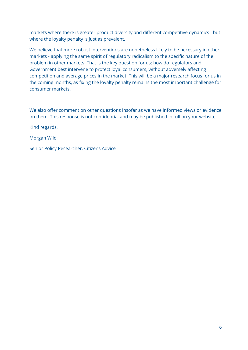markets where there is greater product diversity and different competitive dynamics - but where the loyalty penalty is just as prevalent.

We believe that more robust interventions are nonetheless likely to be necessary in other markets - applying the same spirit of regulatory radicalism to the specific nature of the problem in other markets. That is the key question for us: how do regulators and Government best intervene to protect loyal consumers, without adversely affecting competition and average prices in the market. This will be a major research focus for us in the coming months, as fixing the loyalty penalty remains the most important challenge for consumer markets.

——————

We also offer comment on other questions insofar as we have informed views or evidence on them. This response is not confidential and may be published in full on your website.

Kind regards,

Morgan Wild

Senior Policy Researcher, Citizens Advice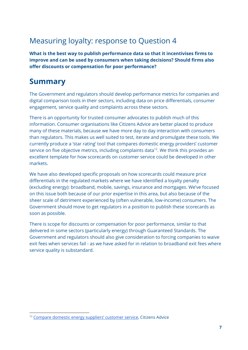# Measuring loyalty: response to Question 4

**What is the best way to publish performance data so that it incentivises firms to improve and can be used by consumers when taking decisions? Should firms also offer discounts or compensation for poor performance?**

# **Summary**

The Government and regulators should develop performance metrics for companies and digital comparison tools in their sectors, including data on price differentials, consumer engagement, service quality and complaints across these sectors.

There is an opportunity for trusted consumer advocates to publish much of this information. Consumer organisations like Citizens Advice are better placed to produce many of these materials, because we have more day to day interaction with consumers than regulators. This makes us well suited to test, iterate and promulgate these tools. We currently produce a 'star rating' tool that compares domestic energy providers' customer service on five objective metrics, including complaints data<sup>12</sup>. We think this provides an excellent template for how scorecards on customer service could be developed in other markets.

We have also developed specific proposals on how scorecards could measure price differentials in the regulated markets where we have identified a loyalty penalty (excluding energy): broadband, mobile, savings, insurance and mortgages. We've focused on this issue both because of our prior expertise in this area, but also because of the sheer scale of detriment experienced by (often vulnerable, low-income) consumers. The Government should move to get regulators in a position to publish these scorecards as soon as possible.

There is scope for discounts or compensation for poor performance, similar to that delivered in some sectors (particularly energy) through Guaranteed Standards. The Government and regulators should also give consideration to forcing companies to waive exit fees when services fail - as we have asked for in relation to broadband exit fees where service quality is substandard.

<sup>12</sup> Compare domestic energy [suppliers'](https://www.citizensadvice.org.uk/about-us/how-citizens-advice-works/citizens-advice-consumer-work/supplier-performance/energy-supplier-performance/compare-domestic-energy-suppliers-customer-service/) customer service, Citizens Advice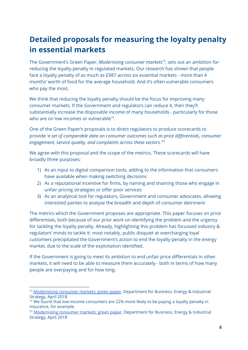# **Detailed proposals for measuring the loyalty penalty in essential markets**

The Government's Green Paper, *Modernising consumer markets<sup>13</sup>*, sets out an ambition for reducing the loyalty penalty in regulated markets. Our research has shown that people face a loyalty penalty of as much as £987 across six essential markets - more than 4 months' worth of food for the average household. And it's often vulnerable consumers who pay the most.

We think that reducing the loyalty penalty should be the focus for improving many consumer markets. If the Government and regulators can reduce it, then they'll substantially increase the disposable income of many households - particularly for those who are on low incomes or vulnerable $^{14}$ .

One of the Green Paper's proposals is to direct regulators to produce scorecards to provide *'a set of comparable data on consumer outcomes such as price differentials, consumer engagement, service quality, and complaints across these sectors.' 15*

We agree with this proposal and the scope of the metrics. These scorecards will have broadly three purposes:

- 1) As an input to digital comparison tools, adding to the information that consumers have available when making switching decisions
- 2) As a reputational incentive for firms, by naming and shaming those who engage in unfair pricing strategies or offer poor services
- 3) As an analytical tool for regulators, Government and consumer advocates, allowing interested parties to analyse the breadth and depth of consumer detriment

The metrics which the Government proposes are appropriate. This paper focuses on price differentials, both because of our prior work on identifying the problem and the urgency for tackling the loyalty penalty. Already, highlighting this problem has focussed industry & regulators' minds to tackle it: most notably, public disquiet at overcharging loyal customers precipitated the Government's action to end the loyalty penalty in the energy market, due to the scale of the exploitation identified.

If the Government is going to meet its ambition to end unfair price differentials in other markets, it will need to be able to measure them accurately - both in terms of how many people are overpaying and for how long.

<sup>&</sup>lt;sup>13</sup> [Modernising](https://www.gov.uk/government/consultations/consumer-green-paper-modernising-consumer-markets) consumer markets: green paper, Department for Business, Energy & Industrial Strategy, April 2018

<sup>&</sup>lt;sup>14</sup> We found that low-income consumers are 22% more likely to be paying a loyalty penalty in insurance, for example.

<sup>&</sup>lt;sup>15</sup> [Modernising](https://www.gov.uk/government/consultations/consumer-green-paper-modernising-consumer-markets) consumer markets: green paper, Department for Business, Energy & Industrial Strategy, April 2018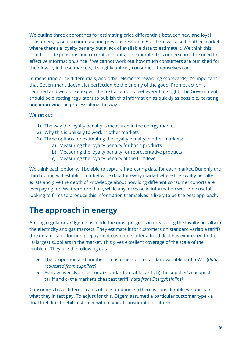We outline three approaches for estimating price differentials between new and loyal consumers, based on our data and previous research. But there will also be other markets where there's a loyalty penalty but a lack of available data to estimate it. We think this could include pensions and current accounts, for example. This underscores the need for effective information, since if we cannot work out how much consumers are punished for their loyalty in these markets, it's highly unlikely consumers themselves can.

In measuring price differentials, and other elements regarding scorecards, it's important that Government doesn't let perfection be the enemy of the good. Prompt action is required and we do not expect the first attempt to get everything right. The Government should be directing regulators to publish this information as quickly as possible, iterating and improving the process along the way.

We set out:

- 1) The way the loyalty penalty is measured in the energy market
- 2) Why this is unlikely to work in other markets
- 3) Three options for estimating the loyalty penalty in other markets:
	- a) Measuring the loyalty penalty for basic products
	- b) Measuring the loyalty penalty for representative products
	- c) Measuring the loyalty penalty at the firm level

We think each option will be able to capture interesting data for each market. But only the third option will establish market wide data for every market where the loyalty penalty exists and give the depth of knowledge about how long different consumer cohorts are overpaying for. We therefore think, while any increase in information would be useful, looking to firms to produce this information themselves is likely to be the best approach.

# **The approach in energy**

Among regulators, Ofgem has made the most progress in measuring the loyalty penalty in the electricity and gas markets. They estimate it for customers on standard variable tariffs (the default tariff for non prepayment customers after a fixed deal has expired) with the 10 largest suppliers in the market. This gives excellent coverage of the scale of the problem. They use the following data:

- The proportion and number of customers on a standard variable tariff (SVT) (*data requested from suppliers)*
- Average weekly prices for a) standard variable tariff, b) the supplier's cheapest tariff and c) the market's cheapest tariff *(data from Energyhelpline)*

Consumers have different rates of consumption, so there is considerable variability in what they in fact pay. To adjust for this, Ofgem assumed a particular customer type - a dual fuel direct debit customer with a typical consumption pattern.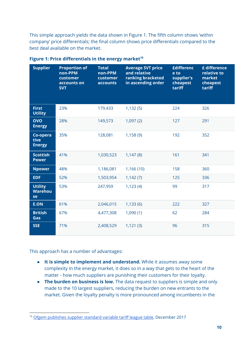This simple approach yields the data shown in Figure 1. The fifth column shows 'within company' price differentials; the final column shows price differentials compared to the best deal available on the market.

| <b>Supplier</b>                        | <b>Proportion of</b><br>non-PPM<br>customer<br>accounts on<br><b>SVT</b> | <b>Total</b><br>non-PPM<br>customer<br>accounts | <b>Average SVT price</b><br>and relative<br>ranking bracketed<br>in ascending order | <b>£differenc</b><br>e to<br>supplier's<br>cheapest<br>tariff | £ difference<br>relative to<br>market<br>cheapest<br>tariff |
|----------------------------------------|--------------------------------------------------------------------------|-------------------------------------------------|-------------------------------------------------------------------------------------|---------------------------------------------------------------|-------------------------------------------------------------|
| <b>First</b><br><b>Utility</b>         | 23%                                                                      | 179,433                                         | 1,132(5)                                                                            | 224                                                           | 326                                                         |
| <b>OVO</b><br><b>Energy</b>            | 28%                                                                      | 149,573                                         | 1,097(2)                                                                            | 127                                                           | 291                                                         |
| Co-opera<br>tive<br><b>Energy</b>      | 35%                                                                      | 128,081                                         | 1,158(9)                                                                            | 192                                                           | 352                                                         |
| <b>Scottish</b><br><b>Power</b>        | 41%                                                                      | 1,030,523                                       | 1,147(8)                                                                            | 161                                                           | 341                                                         |
| <b>Npower</b>                          | 48%                                                                      | 1,186,081                                       | 1,166(10)                                                                           | 158                                                           | 360                                                         |
| <b>EDF</b>                             | 52%                                                                      | 1,503,954                                       | 1,142(7)                                                                            | 125                                                           | 336                                                         |
| <b>Utility</b><br><b>Warehou</b><br>se | 53%                                                                      | 247,959                                         | 1,123(4)                                                                            | 99                                                            | 317                                                         |
| <b>E.ON</b>                            | 61%                                                                      | 2,046,015                                       | 1,133(6)                                                                            | 222                                                           | 327                                                         |
| <b>British</b><br>Gas                  | 67%                                                                      | 4,477,308                                       | 1,090(1)                                                                            | 62                                                            | 284                                                         |
| <b>SSE</b>                             | 71%                                                                      | 2,408,529                                       | 1,121(3)                                                                            | 96                                                            | 315                                                         |

**Figure 1: Price differentials in the energy market 16**

This approach has a number of advantages:

- **It is simple to implement and understand.** While it assumes away some complexity in the energy market, it does so in a way that gets to the heart of the matter - how much suppliers are punishing their customers for their loyalty.
- **The burden on business is low.** The data request to suppliers is simple and only made to the 10 largest suppliers, reducing the burden on new entrants to the market. Given the loyalty penalty is more pronounced among incumbents in the

<sup>&</sup>lt;sup>16</sup> Ofgem [publishes](https://www.ofgem.gov.uk/publications-and-updates/ofgem-publishes-supplier-standard-variable-tariff-league-table) supplier standard variable tariff league table, December 2017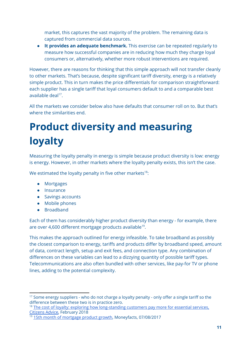market, this captures the vast majority of the problem. The remaining data is captured from commercial data sources.

● **It provides an adequate benchmark.** This exercise can be repeated regularly to measure how successful companies are in reducing how much they charge loyal consumers or, alternatively, whether more robust interventions are required.

However, there are reasons for thinking that this simple approach will not transfer cleanly to other markets. That's because, despite significant tariff diversity, energy is a relatively simple product. This in turn makes the price differentials for comparison straightforward: each supplier has a single tariff that loyal consumers default to and a comparable best available deal<sup>17</sup>.

All the markets we consider below also have defaults that consumer roll on to. But that's where the similarities end.

# **Product diversity and measuring loyalty**

Measuring the loyalty penalty in energy is simple because product diversity is low: energy is energy. However, in other markets where the loyalty penalty exists, this isn't the case.

We estimated the loyalty penalty in five other markets $^{18}$ :

- Mortgages
- Insurance
- Savings accounts
- Mobile phones
- Broadband

Each of them has considerably higher product diversity than energy - for example, there are over 4,600 different mortgage products available<sup>19</sup>.

This makes the approach outlined for energy infeasible. To take broadband as possibly the closest comparison to energy, tariffs and products differ by broadband speed, amount of data, contract length, setup and exit fees, and connection type. Any combination of differences on these variables can lead to a dizzying quantity of possible tariff types. Telecommunications are also often bundled with other services, like pay-for TV or phone lines, adding to the potential complexity.

 $17$  Some energy suppliers - who do not charge a loyalty penalty - only offer a single tariff so the difference between these two is in practice zero.

<sup>&</sup>lt;sup>18</sup> The cost of loyalty: exploring how [long-standing](https://www.citizensadvice.org.uk/about-us/policy/policy-research-topics/consumer-policy-research/consumer-policy-research/the-cost-of-loyalty-exploring-how-long-standing-customers-pay-more-for-essential-services/) customers pay more for essential services, [Citizens](https://www.citizensadvice.org.uk/about-us/policy/policy-research-topics/consumer-policy-research/consumer-policy-research/the-cost-of-loyalty-exploring-how-long-standing-customers-pay-more-for-essential-services/) Advice, February 2018

<sup>&</sup>lt;sup>19</sup> 15th month of [mortgage](https://moneyfacts.co.uk/news/mortgages/15th-month-of-mortgage-product-growth/) product growth, Moneyfacts, 07/08/2017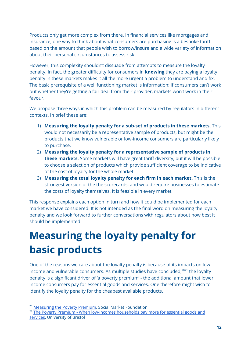Products only get more complex from there. In financial services like mortgages and insurance, one way to think about what consumers are purchasing is a bespoke tariff: based on the amount that people wish to borrow/insure and a wide variety of information about their personal circumstances to assess risk.

However, this complexity shouldn't dissuade from attempts to measure the loyalty penalty. In fact, the greater difficulty for consumers in **knowing** they are paying a loyalty penalty in these markets makes it all the more urgent a problem to understand and fix. The basic prerequisite of a well functioning market is information: if consumers can't work out whether they're getting a fair deal from their provider, markets won't work in their favour.

We propose three ways in which this problem can be measured by regulators in different contexts. In brief these are:

- 1) **Measuring the loyalty penalty for a sub-set of products in these markets.** This would not necessarily be a representative sample of products, but might be the products that we know vulnerable or low-income consumers are particularly likely to purchase.
- 2) **Measuring the loyalty penalty for a representative sample of products in these markets.** Some markets will have great tariff diversity, but it will be possible to choose a selection of products which provide sufficient coverage to be indicative of the cost of loyalty for the whole market.
- 3) **Measuring the total loyalty penalty for each firm in each market.** This is the strongest version of the the scorecards, and would require businesses to estimate the costs of loyalty themselves. It is feasible in every market.

This response explains each option in turn and how it could be implemented for each market we have considered. It is not intended as the final word on measuring the loyalty penalty and we look forward to further conversations with regulators about how best it should be implemented.

# **Measuring the loyalty penalty for basic products**

One of the reasons we care about the loyalty penalty is because of its impacts on low income and vulnerable consumers. As multiple studies have concluded, $^{2021}$  the loyalty penalty is a significant driver of 'a poverty premium' - the additional amount that lower income consumers pay for essential goods and services. One therefore might wish to identify the loyalty penalty for the cheapest available products.

<sup>&</sup>lt;sup>20</sup> [Measuring](http://www.smf.co.uk/publications/measuring-poverty-premium/) the Poverty Premium, Social Market Foundation

<sup>&</sup>lt;sup>21</sup> The Poverty Premium - When [low-incomes](http://www.bristol.ac.uk/geography/research/pfrc/themes/finexc/poverty-premium/) households pay more for essential goods and [services](http://www.bristol.ac.uk/geography/research/pfrc/themes/finexc/poverty-premium/), University of Bristol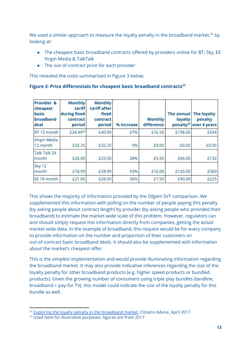We used a similar approach to measure the loyalty penalty in the broadband market, $^{22}$  by looking at:

- The cheapest basic broadband contracts offered by providers online for BT, Sky, EE Virgin Media & TalkTalk
- The out-of-contract price for each provider

This revealed the costs summarised in Figure 3 below.

| Figure 3: Price differentials for cheapest basic broadband contracts <sup>23</sup> |
|------------------------------------------------------------------------------------|
|------------------------------------------------------------------------------------|

| Provider &<br>cheapest<br>basic<br>broadband<br>deal | <b>Monthly</b><br>tariff<br>during fixed<br>contract<br>period | <b>Monthly</b><br>tariff after<br>fixed<br>contract<br>period | % increase | <b>Monthly</b><br>difference | <b>The annual</b><br>loyalty | <b>The loyalty</b><br>penalty<br>penalty <sup>29</sup> over 4 years |
|------------------------------------------------------|----------------------------------------------------------------|---------------------------------------------------------------|------------|------------------------------|------------------------------|---------------------------------------------------------------------|
| BT 12 month                                          | £24,4930                                                       | £40.99                                                        | 67%        | £16.50                       | £198.00                      | £594                                                                |
| Virgin Media<br>12 month                             | £32.25                                                         | £32.25                                                        | 0%         | £0.00                        | £0.00                        | £0.00                                                               |
| Talk Talk 24<br>month                                | £20.00                                                         | £25.50                                                        | 28%        | £5.50                        | £66.00                       | £132                                                                |
| Sky 12<br>month                                      | £18.99                                                         | £28.99                                                        | 53%        | £10.00                       | £120.00                      | £360                                                                |
| EE 18 month                                          | £21.00                                                         | £28.50                                                        | 36%        | £7.50                        | £90.00                       | £225                                                                |

This shows the majority of information provided by the Ofgem SVT comparison. We supplemented this information with polling on the number of people paying this penalty (by asking people about contract length) by provider (by asking people who provided their broadband) to estimate the market-wide scale of this problem. However, regulators can and should simply request this information directly from companies, getting the *actual* market wide data. In the example of broadband, this request would be for every company to provide information on the number and proportion of their customers on out-of-contract basic broadband deals. It should also be supplemented with information about the market's cheapest offer.

This is the simplest implementation and would provide illuminating information regarding the broadband market. It may also provide indicative inferences regarding the size of the loyalty penalty for other broadband products (e.g. higher speed products or bundled products). Given the growing number of consumers using triple play bundles (landline, broadband + pay-for TV), this model could indicate the size of the loyalty penalty for this bundle as well.

<sup>&</sup>lt;sup>22</sup> Exploring the loyalty penalty in the [broadband](https://www.citizensadvice.org.uk/Global/CitizensAdvice/Consumer%20publications/CitizensAdvice-Exploringtheloyaltypenaltyinthebroadbandmarket.pdf) market, Citizens Advice, April 2017

<sup>&</sup>lt;sup>23</sup> Used here for illustrative purposes; figures are from 2017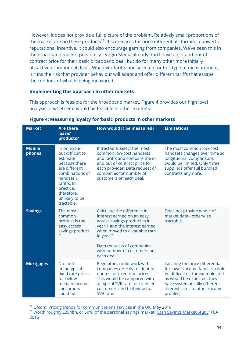However, it does not provide a full picture of the problem. Relatively small proportions of the market are on these products $^{24}$ . If scorecards for price differentials formed a powerful reputational incentive, it could also encourage gaming from companies. We've seen this in the broadband market previously - Virgin Media already don't have an in-and-out of contract price for their basic broadband deal, but do for many other more initially attractive promotional deals. Whatever tariffs one selected for this type of measurement, it runs the risk that provider behaviour will adapt and offer different tariffs that escape the confines of what is being measured.

#### **Implementing this approach in other markets**

This approach is feasible for the broadband market. Figure 4 provides our high level analysis of whether it would be feasible in other markets.

| <b>Market</b>           | <b>Are there</b><br>'basic'<br>products?                                                                                                                                                   | <b>How would it be measured?</b>                                                                                                                                                                                                                      | <b>Limitations</b>                                                                                                                                                                                                      |
|-------------------------|--------------------------------------------------------------------------------------------------------------------------------------------------------------------------------------------|-------------------------------------------------------------------------------------------------------------------------------------------------------------------------------------------------------------------------------------------------------|-------------------------------------------------------------------------------------------------------------------------------------------------------------------------------------------------------------------------|
| <b>Mobile</b><br>phones | In principle -<br>but difficult to<br>estimate<br>because there<br>are different<br>combinations of<br>handset &<br>tariffs. In<br>practice,<br>therefore,<br>unlikely to be<br>tractable. | If tractable, select the most<br>common low-cost handsets<br>and tariffs and compare the in<br>and out of contract price for<br>each provider. Data request of<br>companies for number of<br>customers on each deal.                                  | The most common low-cost<br>handsets changes over time so<br>longitudinal comparisons<br>would be limited. Only three<br>suppliers offer full bundled<br>contracts anymore.                                             |
| <b>Savings</b>          | The most<br>common<br>product is the<br>easy access<br>savings product<br>$25 \overline{\phantom{0}}$                                                                                      | Calculate the difference in<br>interest earned on an easy<br>access savings product in in<br>year 1 and the interest earned<br>when moved to a variable rate<br>in year 2.<br>Data requests of companies<br>with number of customers on<br>each deal. | Does not provide whole of<br>market data - otherwise<br>tractable.                                                                                                                                                      |
| <b>Mortgages</b>        | No - but<br>archetypical<br>fixed rate prices<br>for below<br>median income<br>consumers<br>could be                                                                                       | Regulators could work with<br>companies directly to identify<br>quotes for fixed rate prices.<br>This would be compared with<br>a) typical SVR rate for transfer<br>customers and b) their actual<br>SVR rate.                                        | Isolating the price differential<br>for lower income families could<br>be difficult (if, for example and<br>as would be expected, they<br>have systematically different<br>interest rates to other income<br>profiles). |

#### **Figure 4: Measuring loyalty for 'basic' products in other markets**

<sup>25</sup> Worth roughly £354bn, or 50%, of the personal savings market: Cash [Savings](https://www.fca.org.uk/publication/market-studies/cash-savings-market-study-final-findings.pdf) Market Study, FCA 2016

<sup>&</sup>lt;sup>24</sup> Ofcom, Pricing trends for [communications](https://www.ofcom.org.uk/__data/assets/pdf_file/0030/113898/pricing-report-2018.pdf) services in the UK, May 2018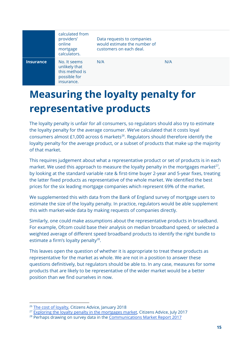|                  | calculated from<br>providers'<br>online<br>mortgage<br>calculators.           | Data requests to companies<br>would estimate the number of<br>customers on each deal. |     |
|------------------|-------------------------------------------------------------------------------|---------------------------------------------------------------------------------------|-----|
| <b>Insurance</b> | No. It seems<br>unlikely that<br>this method is<br>possible for<br>insurance. | N/A                                                                                   | N/A |

# **Measuring the loyalty penalty for representative products**

The loyalty penalty is unfair for all consumers, so regulators should also try to estimate the loyalty penalty for the average consumer. We've calculated that it costs loyal consumers almost  $£1,000$  across 6 markets<sup>26</sup>. Regulators should therefore identify the loyalty penalty for the average product, or a subset of products that make up the majority of that market.

This requires judgement about what a representative product or set of products is in each market. We used this approach to measure the loyalty penalty in the mortgages market<sup>27</sup>, by looking at the standard variable rate & first-time buyer 2-year and 5-year fixes, treating the latter fixed products as representative of the whole market. We identified the best prices for the six leading mortgage companies which represent 69% of the market.

We supplemented this with data from the Bank of England survey of mortgage users to estimate the size of the loyalty penalty. In practice, regulators would be able supplement this with market-wide data by making requests of companies directly.

Similarly, one could make assumptions about the representative products in broadband. For example, Ofcom could base their analysis on median broadband speed, or selected a weighted average of different speed broadband products to identify the right bundle to estimate a firm's loyalty penalty<sup>28</sup>.

This leaves open the question of whether it is appropriate to treat these products as representative for the market as whole. We are not in a position to answer these questions definitively, but regulators should be able to. In any case, measures for some products that are likely to be representative of the wider market would be a better position than we find ourselves in now.

<sup>&</sup>lt;sup>26</sup> The cost of [loyalty](https://www.citizensadvice.org.uk/Global/CitizensAdvice/Consumer%20publications/Citizens%20Advice%20-%20The%20cost%20of%20loyalty.pdf), Citizens Advice, January 2018

<sup>&</sup>lt;sup>27</sup> Exploring the loyalty penalty in the [mortgages](https://www.citizensadvice.org.uk/Global/CitizensAdvice/Consumer%20publications/Exploring%20the%20loyalty%20penalty%20in%20the%20mortgage%20market.pdf) market, Citizens Advice, July 2017

<sup>&</sup>lt;sup>28</sup> Perhaps drawing on survey data in the [Communications](https://www.ofcom.org.uk/__data/assets/pdf_file/0015/105441/uk-telecoms-networks.pdf) Market Report 2017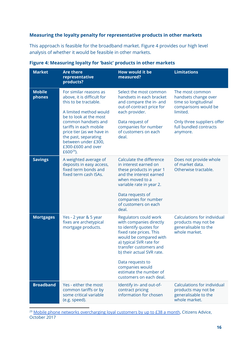#### **Measuring the loyalty penalty for representative products in other markets**

This approach is feasible for the broadband market. Figure 4 provides our high level analysis of whether it would be feasible in other markets.

| <b>Market</b>           | <b>Are there</b><br>representative<br>products?                                                                                                                                                                                                                                                        | <b>How would it be</b><br>measured?                                                                                                                                                                                                                                                                           | <b>Limitations</b>                                                                                                                                                      |
|-------------------------|--------------------------------------------------------------------------------------------------------------------------------------------------------------------------------------------------------------------------------------------------------------------------------------------------------|---------------------------------------------------------------------------------------------------------------------------------------------------------------------------------------------------------------------------------------------------------------------------------------------------------------|-------------------------------------------------------------------------------------------------------------------------------------------------------------------------|
| <b>Mobile</b><br>phones | For similar reasons as<br>above, it is difficult for<br>this to be tractable.<br>A limited method would<br>be to look at the most<br>common handsets and<br>tariffs in each mobile<br>price tier (as we have in<br>the past, separating<br>between under £300,<br>£300-£600 and over<br>$£600^{29}$ ). | Select the most common<br>handsets in each bracket<br>and compare the in- and<br>out-of-contract price for<br>each provider.<br>Data request of<br>companies for number<br>of customers on each<br>deal.                                                                                                      | The most common<br>handsets change over<br>time so longitudinal<br>comparisons would be<br>limited.<br>Only three suppliers offer<br>full bundled contracts<br>anymore. |
| <b>Savings</b>          | A weighted average of<br>deposits in easy access,<br>fixed term bonds and<br>fixed term cash ISAs.                                                                                                                                                                                                     | Calculate the difference<br>in interest earned on<br>these products in year 1<br>and the interest earned<br>when moved to a<br>variable rate in year 2.<br>Data requests of<br>companies for number<br>of customers on each<br>deal.                                                                          | Does not provide whole<br>of market data.<br>Otherwise tractable.                                                                                                       |
| <b>Mortgages</b>        | Yes - 2 year & 5 year<br>fixes are archetypical<br>mortgage products.                                                                                                                                                                                                                                  | Regulators could work<br>with companies directly<br>to identify quotes for<br>fixed rate prices. This<br>would be compared with<br>a) typical SVR rate for<br>transfer customers and<br>b) their actual SVR rate.<br>Data requests to<br>companies would<br>estimate the number of<br>customers on each deal. | <b>Calculations for individual</b><br>products may not be<br>generalisable to the<br>whole market.                                                                      |
| <b>Broadband</b>        | Yes - either the most<br>common tariffs or by<br>some critical variable<br>(e.g. speed).                                                                                                                                                                                                               | Identify in- and out-of-<br>contract pricing<br>information for chosen                                                                                                                                                                                                                                        | <b>Calculations for individual</b><br>products may not be<br>generalisable to the<br>whole market.                                                                      |

#### **Figure 4: Measuring loyalty for 'basic' products in other markets**

<sup>29</sup> Mobile phone networks [overcharging](https://www.citizensadvice.org.uk/about-us/how-citizens-advice-works/media/press-releases/mobile-phone-networks-overcharging-loyal-customers-by-up-to-38-a-month/) loyal customers by up to £38 a month, Citizens Advice, October 2017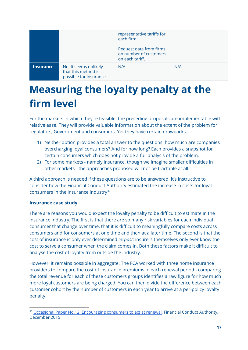|           |                                                                         | representative tariffs for<br>each firm.                             |     |
|-----------|-------------------------------------------------------------------------|----------------------------------------------------------------------|-----|
|           |                                                                         | Request data from firms<br>on number of customers<br>on each tariff. |     |
| Insurance | No. It seems unlikely<br>that this method is<br>possible for insurance. | N/A                                                                  | N/A |

# **Measuring the loyalty penalty at the firm level**

For the markets in which they're feasible, the preceding proposals are implementable with relative ease. They will provide valuable information about the extent of the problem for regulators, Government and consumers. Yet they have certain drawbacks:

- 1) Neither option provides a total answer to the questions: how much are companies overcharging loyal consumers? And for how long? Each provides a snapshot for certain consumers which does not provide a full analysis of the problem.
- 2) For some markets namely insurance, though we imagine smaller difficulties in other markets - the approaches proposed will not be tractable at all.

A third approach is needed if these questions are to be answered. It's instructive to consider how the Financial Conduct Authority estimated the increase in costs for loyal consumers in the insurance industry $30$ .

#### **Insurance case study**

There are reasons you would expect the loyalty penalty to be difficult to estimate in the insurance industry. The first is that there are so many risk variables for each individual consumer that change over time, that it is difficult to meaningfully compare costs across consumers and for consumers at one time and then at a later time. The second is that the cost of insurance is only ever determined *ex post*: insurers themselves only ever know the cost to serve a consumer when the claim comes in. Both these factors make it difficult to analyse the cost of loyalty from outside the industry.

However, it remains possible in aggregate. The FCA worked with three home insurance providers to compare the cost of insurance premiums in each renewal period - comparing the total revenue for each of these customers groups identifies a raw figure for how much more loyal customers are being charged. You can then divide the difference between each customer cohort by the number of customers in each year to arrive at a per-policy loyalty penalty.

<sup>&</sup>lt;sup>30</sup> Occasional Paper No.12: [Encouraging](https://www.fca.org.uk/publication/occasional-papers/occasional-paper-12.pdf) consumers to act at renewal, Financial Conduct Authority, December 2015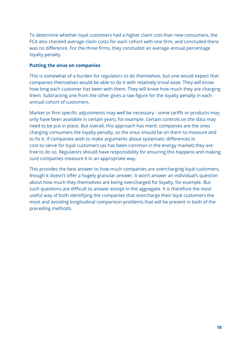To determine whether loyal customers had a higher claim cost than new consumers, the FCA also checked average claim costs for each cohort with one firm, and concluded there was no difference. For the three firms, they concluded an average annual percentage loyalty penalty.

#### **Putting the onus on companies**

This is somewhat of a burden for regulators to do themselves, but one would expect that companies themselves would be able to do it with relatively trivial ease. They will know how long each customer has been with them. They will know how much they are charging them. Subtracting one from the other gives a raw figure for the loyalty penalty in each annual cohort of customers.

Market or firm specific adjustments may well be necessary - some tariffs or products may only have been available in certain years, for example. Certain controls on the data may need to be put in place. But overall, this approach has merit: companies are the ones charging consumers the loyalty penalty, so the onus should be on them to measure and to fix it. If companies wish to make arguments about systematic differences in cost-to-serve for loyal customers (as has been common in the energy market) they are free to do so. Regulators should have responsibility for ensuring this happens and making sure companies measure it in an appropriate way.

This provides the best answer to how much companies are overcharging loyal customers, though it doesn't offer a hugely granular answer. It won't answer an individual's question about how much they themselves are being overcharged for loyalty, for example. But such questions are difficult to answer except in the aggregate. It is therefore the most useful way of both identifying the companies that overcharge their loyal customers the most and avoiding longitudinal comparison problems that will be present in both of the preceding methods.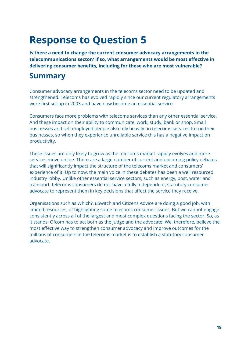# **Response to Question 5**

**Is there a need to change the current consumer advocacy arrangements in the telecommunications sector? If so, what arrangements would be most effective in delivering consumer benefits, including for those who are most vulnerable?**

# **Summary**

Consumer advocacy arrangements in the telecoms sector need to be updated and strengthened. Telecoms has evolved rapidly since our current regulatory arrangements were first set up in 2003 and have now become an essential service.

Consumers face more problems with telecoms services than any other essential service. And these impact on their ability to communicate, work, study, bank or shop. Small businesses and self employed people also rely heavily on telecoms services to run their businesses, so when they experience unreliable service this has a negative impact on productivity.

These issues are only likely to grow as the telecoms market rapidly evolves and more services move online. There are a large number of current and upcoming policy debates that will significantly impact the structure of the telecoms market and consumers' experience of it. Up to now, the main voice in these debates has been a well resourced industry lobby. Unlike other essential service sectors, such as energy, post, water and transport, telecoms consumers do not have a fully independent, statutory consumer advocate to represent them in key decisions that affect the service they receive.

Organisations such as Which?, uSwitch and Citizens Advice are doing a good job, with limited resources, of highlighting some telecoms consumer issues. But we cannot engage consistently across all of the largest and most complex questions facing the sector. So, as it stands, Ofcom has to act both as the judge and the advocate. We, therefore, believe the most effective way to strengthen consumer advocacy and improve outcomes for the millions of consumers in the telecoms market is to establish a statutory consumer advocate.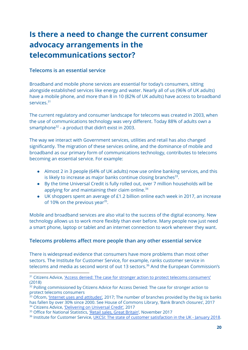# **Is there a need to change the current consumer advocacy arrangements in the telecommunications sector?**

#### **Telecoms is an essential service**

Broadband and mobile phone services are essential for today's consumers, sitting alongside established services like energy and water. Nearly all of us (96% of UK adults) have a mobile phone, and more than 8 in 10 (82% of UK adults) have access to broadband services.<sup>31</sup>

The current regulatory and consumer landscape for telecoms was created in 2003, when the use of communications technology was very different. Today 88% of adults own a smartphone<sup>32</sup> - a product that didn't exist in 2003.

The way we interact with Government services, utilities and retail has also changed significantly. The migration of these services online, and the dominance of mobile and broadband as our primary form of communications technology, contributes to telecoms becoming an essential service. For example:

- Almost 2 in 3 people (64% of UK adults) now use online banking services, and this is likely to increase as major banks continue closing branches $^{33}$ .
- By the time Universal Credit is fully rolled out, over 7 million households will be applying for and maintaining their claim online.<sup>34</sup>
- UK shoppers spent an average of £1.2 billion online each week in 2017, an increase of 10% on the previous year $35$ .

Mobile and broadband services are also vital to the success of the digital economy. New technology allows us to work more flexibly than ever before. Many people now just need a smart phone, laptop or tablet and an internet connection to work wherever they want.

#### **Telecoms problems affect more people than any other essential service**

There is widespread evidence that consumers have more problems than most other sectors. The Institute for Customer Service, for example, ranks customer service in telecoms and media as second worst of out 13 sectors.<sup>36</sup> And the European Commission's

<sup>&</sup>lt;sup>31</sup> Citizens Advice, 'Access denied: The case for stronger action to protect telecoms [consumers'](https://www.citizensadvice.org.uk/Global/CitizensAdvice/Consumer%20publications/Access%20denied.%20FINAL%20January%202018(1).pdf) (2018)

<sup>&</sup>lt;sup>32</sup> Polling commissioned by Citizens Advice for Access Denied: The case for stronger action to protect telecoms consumers

 $^{33}$  Ofcom, 'Internet uses and [attitudes',](https://www.ofcom.org.uk/__data/assets/pdf_file/0018/105507/internet-use-attitudes-bulletin-2017.pdf) 2017; The number of branches provided by the big six banks. has fallen by over 30% since 2000. See House of Commons Library, 'Bank Branch closures', 2017 <sup>34</sup> Citizens Advice, ['Delivering](https://www.citizensadvice.org.uk/Global/CitizensAdvice/welfare%20publications/Delivering%20on%20Universal%20Credit%20-%20report.pdf) on Universal Credit', 2017

<sup>&</sup>lt;sup>35</sup> Office for National Statistics, 'Retail sales, Great [Britain'](https://www.ons.gov.uk/businessindustryandtrade/retailindustry/bulletins/retailsales/november2017), November 2017

<sup>&</sup>lt;sup>36</sup> Institute for Customer Service, UKCSI: The state of customer [satisfaction](https://www.instituteofcustomerservice.com/research-insight/research-library/ukcsi-the-state-of-customer-satisfaction-in-the-uk-january-2018) in the UK - January 2018.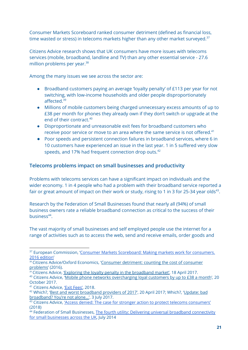Consumer Markets Scoreboard ranked consumer detriment (defined as financial loss, time wasted or stress) in telecoms markets higher than any other market surveyed. $37$ 

Citizens Advice research shows that UK consumers have more issues with telecoms services (mobile, broadband, landline and TV) than any other essential service - 27.6 million problems per year. 38

Among the many issues we see across the sector are:

- Broadband customers paying an average 'loyalty penalty' of £113 per year for not switching, with low-income households and older people disproportionately affected. 39
- Millions of mobile customers being charged unnecessary excess amounts of up to £38 per month for phones they already own if they don't switch or upgrade at the end of their contract. 40
- Disproportionate and unreasonable exit fees for broadband customers who receive poor service or move to an area where the same service is not offered.<sup>41</sup>
- Poor speeds and persistent connection failures in broadband services, where 6 in 10 customers have experienced an issue in the last year. 1 in 5 suffered very slow speeds, and 17% had frequent connection drop outs.<sup>42</sup>

#### **Telecoms problems impact on small businesses and productivity**

Problems with telecoms services can have a significant impact on individuals and the wider economy. 1 in 4 people who had a problem with their broadband service reported a fair or great amount of impact on their work or study, rising to 1 in 3 for 25-34 year olds<sup>43</sup>.

Research by the Federation of Small Businesses found that nearly all (94%) of small business owners rate a reliable broadband connection as critical to the success of their business<sup>44</sup>.

The vast majority of small businesses and self employed people use the internet for a range of activities such as to access the web, send and receive emails, order goods and

 $\frac{39}{39}$  Citizens Advice, <u>'Exploring the loyalty penalty in the [broadband](https://www.citizensadvice.org.uk/about-us/policy/policy-research-topics/consumer-policy-research/consumer-policy-research/exploring-the-loyalty-penalty-in-the-broadband-market/) market'</u>, 18 April 2017.

<sup>&</sup>lt;sup>37</sup> European Commission, 'Consumer Markets [Scoreboard:](https://ec.europa.eu/info/sites/info/files/consumer_markets_scoreboard_2016_-_final_lr_en_0.pdf) Making markets work for consumers. 2016 [edition'](https://ec.europa.eu/info/sites/info/files/consumer_markets_scoreboard_2016_-_final_lr_en_0.pdf)

<sup>&</sup>lt;sup>38</sup> Citizens Advice/Oxford Economics, 'Consumer [detriment:](https://www.citizensadvice.org.uk/about-us/policy/policy-research-topics/consumer-policy-research/consumer-policy-research/consumer-detriment-counting-the-cost-of-consumer-problems/) counting the cost of consumer [problems'](https://www.citizensadvice.org.uk/about-us/policy/policy-research-topics/consumer-policy-research/consumer-policy-research/consumer-detriment-counting-the-cost-of-consumer-problems/) (2016).

<sup>&</sup>lt;sup>40</sup> Citizens Advice, 'Mobile phone networks [overcharging](https://www.citizensadvice.org.uk/about-us/how-citizens-advice-works/media/press-releases/mobile-phone-networks-overcharging-loyal-customers-by-up-to-38-a-month/) loyal customers by up to £38 a month', 20 October 2017.

<sup>&</sup>lt;sup>41</sup> Citizens Advice, 'Exit [Fees',](https://www.citizensadvice.org.uk/Global/CitizensAdvice/Consumer%20publications/Exit%20Fees%20-%20Final%20Edits.pdf) 2018.

<sup>42</sup> Which?, 'Best and worst [broadband](https://www.which.co.uk/news/2017/04/best-and-worst-broadband-providers-of-2017-revealed-by-which-survey/) providers of 2017', 20 April 2017; Which?, '[Update:](https://conversation.which.co.uk/technology/fix-bad-broadband-speed-test/) bad [broadband?](https://conversation.which.co.uk/technology/fix-bad-broadband-speed-test/) You're not alone…', 3 July 2017.

<sup>&</sup>lt;sup>43</sup> Citizens Advice, 'Access denied: The case for stronger action to protect telecoms [consumers'](https://www.citizensadvice.org.uk/Global/CitizensAdvice/Consumer%20publications/Access%20denied.%20FINAL%20January%202018(1).pdf) (2018)

<sup>&</sup>lt;sup>44</sup> Federation of Small Businesses, The fourth utility: Delivering universal broadband [connectivity](https://www.fsb.org.uk/docs/default-source/Publications/reports/fsb-the-fourth-utility.pdf?sfvrsn=1) for small [businesses](https://www.fsb.org.uk/docs/default-source/Publications/reports/fsb-the-fourth-utility.pdf?sfvrsn=1) across the UK, July 2014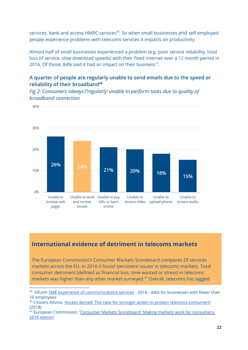services, bank and access HMRC services<sup>45</sup>. So when small businesses and self employed people experience problems with telecoms services it impacts on productivity.

Almost half of small businesses experienced a problem (e.g. poor service reliability, total loss of service, slow download speeds) with their fixed internet over a 12 month period in 2016. Of those, 84% said it had an impact on their business<sup>12</sup>.

#### **A quarter of people are regularly unable to send emails due to the speed or reliability of their broadband<sup>46</sup>**

*Fig 2: Consumers 'always'/'regularly' unable to perform tasks due to quality of broadband connection*



#### **International evidence of detriment in telecoms markets**

The European Commission's Consumer Markets Scoreboard compares 29 services markets across the EU. In 2016 it found 'persistent issues' in telecoms markets. Total consumer detriment (defined as financial loss, time wasted or stress) in telecoms markets was higher than any other market surveyed.<sup>47</sup> Overall, telecoms has lagged

<sup>&</sup>lt;sup>45</sup> Ofcom SME experience of [communications](https://www.ofcom.org.uk/research-and-data/multi-sector-research/general-communications/sme-research) services - 2016 - data for businesses with fewer than 10 employees

 $46$  Citizens Advice, 'Access denied: The case for stronger action to protect telecoms [consumers'](https://www.citizensadvice.org.uk/Global/CitizensAdvice/Consumer%20publications/Access%20denied.%20FINAL%20January%202018(1).pdf) (2018)

<sup>&</sup>lt;sup>47</sup> European Commission, 'Consumer Markets [Scoreboard:](https://ec.europa.eu/info/sites/info/files/consumer_markets_scoreboard_2016_-_final_lr_en_0.pdf) Making markets work for consumers. 2016 [edition'](https://ec.europa.eu/info/sites/info/files/consumer_markets_scoreboard_2016_-_final_lr_en_0.pdf)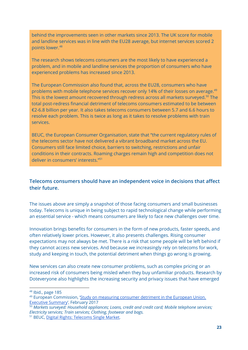behind the improvements seen in other markets since 2013. The UK score for mobile and landline services was in line with the EU28 average, but internet services scored 2 points lower. 48

The research shows telecoms consumers are the most likely to have experienced a problem, and in mobile and landline services the proportion of consumers who have experienced problems has increased since 2013.

The European Commission also found that, across the EU28, consumers who have problems with mobile telephone services recover only 14% of their losses on average.<sup>49</sup> This is the lowest amount recovered through redress across all markets surveyed.<sup>50</sup> The total post-redress financial detriment of telecoms consumers estimated to be between €2-6.8 billion per year. It also takes telecoms consumers between 5.7 and 6.6 hours to resolve each problem. This is twice as long as it takes to resolve problems with train services.

BEUC, the European Consumer Organisation, state that "the current regulatory rules of the telecoms sector have not delivered a vibrant broadband market across the EU. Consumers still face limited choice, barriers to switching, restrictions and unfair conditions in their contracts. Roaming charges remain high and competition does not deliver in consumers' interests." 51

#### **Telecoms consumers should have an independent voice in decisions that affect their future.**

The issues above are simply a snapshot of those facing consumers and small businesses today. Telecoms is unique in being subject to rapid technological change while performing an essential service - which means consumers are likely to face new challenges over time.

Innovation brings benefits for consumers in the form of new products, faster speeds, and often relatively lower prices. However, it also presents challenges. Rising consumer expectations may not always be met. There is a risk that some people will be left behind if they cannot access new services. And because we increasingly rely on telecoms for work, study and keeping in touch, the potential detriment when things go wrong is growing.

New services can also create new consumer problems, such as complex pricing or an increased risk of consumers being misled when they buy unfamiliar products. Research by Doteveryone also highlights the increasing security and privacy issues that have emerged

- <sup>49</sup> European Commission, 'Study on [measuring](https://publications.europa.eu/en/publication-detail/-/publication/7d93acf8-943f-11e7-b92d-01aa75ed71a1/language-en) consumer detriment in the European Union. Executive [Summary](https://publications.europa.eu/en/publication-detail/-/publication/7d93acf8-943f-11e7-b92d-01aa75ed71a1/language-en)', February 2017
- <sup>50</sup> *Markets surveyed: Household appliances; Loans, credit and credit card; Mobile telephone services; Electricity services; Train services; Clothing, footwear and bags.*

<sup>48</sup> Ibid., page 185

<sup>51</sup> BEUC, Digital Rights: [Telecoms](http://www.beuc.eu/digital-rights/telecoms-single-market) Single Market.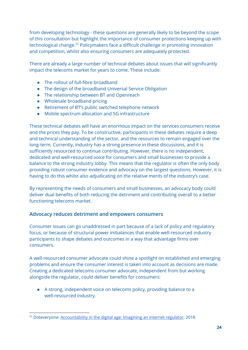from developing technology - these questions are generally likely to be beyond the scope of this consultation but highlight the importance of consumer protections keeping up with technological change.<sup>52</sup> Policymakers face a difficult challenge in promoting innovation and competition, whilst also ensuring consumers are adequately protected.

There are already a large number of technical debates about issues that will significantly impact the telecoms market for years to come. These include:

- The rollout of full-fibre broadband
- The design of the broadband Universal Service Obligation
- The relationship between BT and Openreach
- Wholesale broadband pricing
- Retirement of BT's public switched telephone network
- Mobile spectrum allocation and 5G infrastructure

These technical debates will have an enormous impact on the services consumers receive and the prices they pay. To be constructive, participants in these debates require a deep and technical understanding of the sector, and the resources to remain engaged over the long-term. Currently, industry has a strong presence in these discussions, and it is sufficiently resourced to continue contributing. However, there is no independent, dedicated and well-resourced voice for consumers and small businesses to provide a balance to the strong industry lobby. This means that the regulator is often the only body providing robust consumer evidence and advocacy on the largest questions. However, it is having to do this whilst also adjudicating on the relative merits of the industry's case.

By representing the needs of consumers and small businesses, an advocacy body could deliver dual benefits of both reducing the detriment and contributing overall to a better functioning telecoms market.

#### **Advocacy reduces detriment and empowers consumers**

Consumer issues can go unaddressed in part because of a lack of policy and regulatory focus, or because of structural power imbalances that enable well-resourced industry participants to shape debates and outcomes in a way that advantage firms over consumers.

A well-resourced consumer advocate could shine a spotlight on established and emerging problems and ensure the consumer interest is taken into account as decisions are made. Creating a dedicated telecoms consumer advocate, independent from but working alongside the regulator, could deliver benefits for consumers:

● A strong, independent voice on telecoms policy, providing balance to a well-resourced industry.

<sup>&</sup>lt;sup>52</sup> Doteveryone: [Accountability](https://medium.com/doteveryone/accountability-in-the-digital-age-imagining-an-internet-regulator-2390e30c5853) in the digital age: Imagining an internet regulator, 2018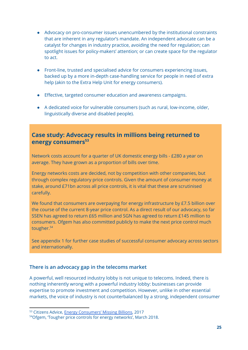- Advocacy on pro-consumer issues unencumbered by the institutional constraints that are inherent in any regulator's mandate. An independent advocate can be a catalyst for changes in industry practice, avoiding the need for regulation; can spotlight issues for policy-makers' attention; or can create space for the regulator to act.
- Front-line, trusted and specialised advice for consumers experiencing issues, backed up by a more in-depth case-handling service for people in need of extra help (akin to the Extra Help Unit for energy consumers).
- Effective, targeted consumer education and awareness campaigns.
- A dedicated voice for vulnerable consumers (such as rural, low-income, older, linguistically diverse and disabled people).

#### **Case study: Advocacy results in millions being returned to energy consumers 53**

Network costs account for a quarter of UK domestic energy bills - £280 a year on average. They have grown as a proportion of bills over time.

Energy networks costs are decided, not by competition with other companies, but through complex regulatory price controls. Given the amount of consumer money at stake, around £71bn across all price controls, it is vital that these are scrutinised carefully.

We found that consumers are overpaying for energy infrastructure by £7.5 billion over the course of the current 8-year price control. As a direct result of our advocacy, so far SSEN has agreed to return £65 million and SGN has agreed to return £145 million to consumers. Ofgem has also committed publicly to make the next price control much tougher. 54

See appendix 1 for further case studies of successful consumer advocacy across sectors and internationally.

#### **There is an advocacy gap in the telecoms market**

A powerful, well resourced industry lobby is not unique to telecoms. Indeed, there is nothing inherently wrong with a powerful industry lobby: businesses can provide expertise to promote investment and competition. However, unlike in other essential markets, the voice of industry is not counterbalanced by a strong, independent consumer

<sup>53</sup> Citizens Advice, Energy [Consumers'](https://www.citizensadvice.org.uk/Global/CitizensAdvice/Energy/EnergyConsumersMissingBillions.pdf) Missing Billions, 2017

<sup>54</sup>Ofgem, 'Tougher price controls for energy [networks',](https://www.ofgem.gov.uk/news-blog/our-blog/tougher-price-controls-energy-networks) March 2018.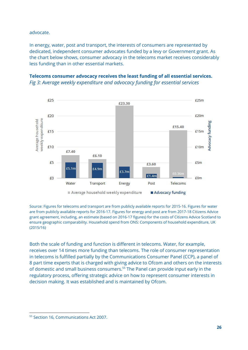advocate.

In energy, water, post and transport, the interests of consumers are represented by dedicated, independent consumer advocates funded by a levy or Government grant. As the chart below shows, consumer advocacy in the telecoms market receives considerably less funding than in other essential markets.





Source: Figures for telecoms and transport are from publicly available reports for 2015-16. Figures for water are from publicly available reports for 2016-17. Figures for energy and post are from 2017-18 Citizens Advice grant agreement, including, an estimate (based on 2016-17 figures) for the costs of Citizens Advice Scotland to ensure geographic comparability. Household spend from ONS: Components of household expenditure, UK (2015/16)

Both the scale of funding and function is different in telecoms. Water, for example, receives over 14 times more funding than telecoms. The role of consumer representation in telecoms is fulfilled partially by the Communications Consumer Panel (CCP), a panel of 8 part time experts that is charged with giving advice to Ofcom and others on the interests of domestic and small business consumers.<sup>55</sup> The Panel can provide input early in the regulatory process, offering strategic advice on how to represent consumer interests in decision making. It was established and is maintained by Ofcom.

<sup>55</sup> Section 16, Communications Act 2007.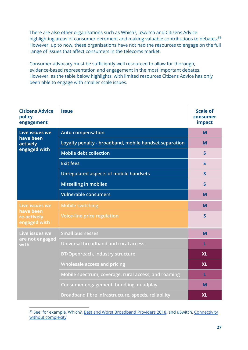There are also other organisations such as Which?, uSwitch and Citizens Advice highlighting areas of consumer detriment and making valuable contributions to debates.<sup>56</sup> However, up to now, these organisations have not had the resources to engage on the full range of issues that affect consumers in the telecoms market.

Consumer advocacy must be sufficiently well resourced to allow for thorough, evidence-based representation and engagement in the most important debates. However, as the table below highlights, with limited resources Citizens Advice has only been able to engage with smaller scale issues.

| <b>Citizens Advice</b><br>policy<br>engagement                    | <b>Issue</b>                                           | <b>Scale of</b><br>consumer<br>impact |
|-------------------------------------------------------------------|--------------------------------------------------------|---------------------------------------|
| Live issues we                                                    | <b>Auto-compensation</b>                               | M                                     |
| have been<br>actively                                             | Loyalty penalty - broadband, mobile handset separation | M                                     |
| engaged with                                                      | <b>Mobile debt collection</b>                          | $\mathsf{S}$                          |
|                                                                   | <b>Exit fees</b>                                       | $\overline{\mathsf{S}}$               |
|                                                                   | Unregulated aspects of mobile handsets                 | $\mathsf{S}$                          |
|                                                                   | <b>Misselling in mobiles</b>                           | $\overline{\mathsf{S}}$               |
|                                                                   | <b>Vulnerable consumers</b>                            | M                                     |
| <b>Live issues we</b><br>have been<br>re-actively<br>engaged with | <b>Mobile switching</b>                                | M                                     |
|                                                                   | <b>Voice-line price regulation</b>                     | S                                     |
| Live issues we<br>are not engaged<br>with                         | <b>Small businesses</b>                                | M                                     |
|                                                                   | Universal broadband and rural access                   | L                                     |
|                                                                   | <b>BT/Openreach, industry structure</b>                | <b>XL</b>                             |
|                                                                   | <b>Wholesale access and pricing</b>                    | <b>XL</b>                             |
|                                                                   | Mobile spectrum, coverage, rural access, and roaming   | L                                     |
|                                                                   | Consumer engagement, bundling, quadplay                | M                                     |
|                                                                   | Broadband fibre infrastructure, speeds, reliability    | <b>XL</b>                             |

<sup>&</sup>lt;sup>56</sup> See, for example, Which?, **Best and Worst [Broadband](https://www.which.co.uk/reviews/broadband-deals/article/best-broadband-providers) Providers 2018**, and uSwitch, [Connectivity](https://www.uswitch.com/campaigns/connectivity/) without [complexity.](https://www.uswitch.com/campaigns/connectivity/)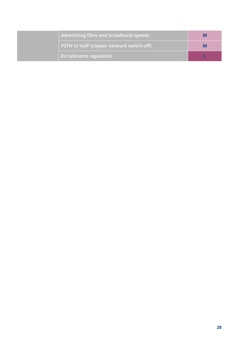| Advertising fibre and broadband speeds   |  |
|------------------------------------------|--|
| PSTN to VoIP (copper network switch-off) |  |
| EU telecoms regulation                   |  |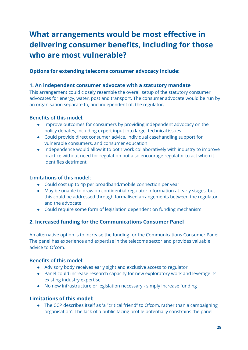# **What arrangements would be most effective in delivering consumer benefits, including for those who are most vulnerable?**

#### **Options for extending telecoms consumer advocacy include:**

#### **1. An independent consumer advocate with a statutory mandate**

This arrangement could closely resemble the overall setup of the statutory consumer advocates for energy, water, post and transport. The consumer advocate would be run by an organisation separate to, and independent of, the regulator.

#### **Benefits of this model:**

- Improve outcomes for consumers by providing independent advocacy on the policy debates, including expert input into large, technical issues
- Could provide direct consumer advice, individual casehandling support for vulnerable consumers, and consumer education
- Independence would allow it to both work collaboratively with industry to improve practice without need for regulation but also encourage regulator to act when it identifies detriment

#### **Limitations of this model:**

- Could cost up to 4p per broadband/mobile connection per year
- May be unable to draw on confidential regulator information at early stages, but this could be addressed through formalised arrangements between the regulator and the advocate
- Could require some form of legislation dependent on funding mechanism

#### **2. Increased funding for the Communications Consumer Panel**

An alternative option is to increase the funding for the Communications Consumer Panel. The panel has experience and expertise in the telecoms sector and provides valuable advice to Ofcom.

#### **Benefits of this model:**

- Advisory body receives early sight and exclusive access to regulator
- Panel could increase research capacity for new exploratory work and leverage its existing industry expertise
- No new infrastructure or legislation necessary simply increase funding

#### **Limitations of this model:**

● The CCP describes itself as 'a "critical friend" to Ofcom, rather than a campaigning organisation'. The lack of a public facing profile potentially constrains the panel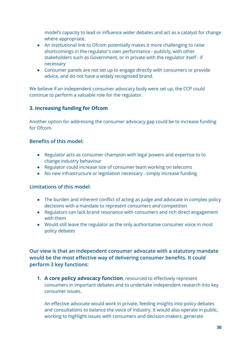model's capacity to lead or influence wider debates and act as a catalyst for change where appropriate.

- An institutional link to Ofcom potentially makes it more challenging to raise shortcomings in the regulator's own performance - publicly, with other stakeholders such as Government, or in private with the regulator itself - if necessary
- Consumer panels are not set up to engage directly with consumers or provide advice, and do not have a widely recognised brand.

We believe if an independent consumer advocacy body were set up, the CCP could continue to perform a valuable role for the regulator.

#### **3. Increasing funding for Ofcom**

Another option for addressing the consumer advocacy gap could be to increase funding for Ofcom.

#### **Benefits of this model:**

- Regulator acts as consumer champion with legal powers and expertise to to change industry behaviour
- Regulator could increase size of consumer team working on telecoms
- No new infrastructure or legislation necessary simply increase funding

#### **Limitations of this model:**

- The burden and inherent conflict of acting as judge and advocate in complex policy decisions with a mandate to represent consumers *and* competition
- Regulators can lack brand resonance with consumers and rich direct engagement with them
- Would still leave the regulator as the only authoritative consumer voice in most policy debates

**Our view is that an independent consumer advocate with a statutory mandate would be the most effective way of delivering consumer benefits. It could perform 3 key functions:**

**1. A core policy advocacy function**, resourced to effectively represent consumers in important debates and to undertake independent research into key consumer issues.

An effective advocate would work in private, feeding insights into policy debates and consultations to balance the voice of industry. It would also operate in public, working to highlight issues with consumers and decision-makers, generate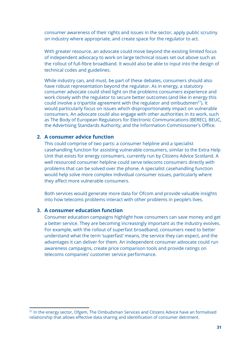consumer awareness of their rights and issues in the sector, apply public scrutiny on industry where appropriate, and create space for the regulator to act.

With greater resource, an advocate could move beyond the existing limited focus of independent advocacy to work on large technical issues set out above such as the rollout of full-fibre broadband. It would also be able to input into the design of technical codes and guidelines.

While industry can, and must, be part of these debates, consumers should also have robust representation beyond the regulator. As in energy, a statutory consumer advocate could shed light on the problems consumers experience and work closely with the regulator to secure better outcomes (and like in energy this could involve a tripartite agreement with the regulator and ombudsmen<sup>57</sup>). It would particularly focus on issues which disproportionately impact on vulnerable consumers. An advocate could also engage with other authorities in its work, such as The Body of European Regulators for Electronic Communications (BEREC), BEUC, the Advertising Standards Authority, and the Information Commissioner's Office.

#### **2. A consumer advice function**

This could comprise of two parts: a consumer helpline and a specialist casehandling function for assisting vulnerable consumers, similar to the Extra Help Unit that exists for energy consumers, currently run by Citizens Advice Scotland. A well resourced consumer helpline could serve telecoms consumers directly with problems that can be solved over the phone. A specialist casehandling function would help solve more complex individual consumer issues, particularly where they affect more vulnerable consumers.

Both services would generate more data for Ofcom and provide valuable insights into how telecoms problems interact with other problems in people's lives.

#### **3. A consumer education function**

Consumer education campaigns highlight how consumers can save money and get a better service. They are becoming increasingly important as the industry evolves. For example, with the rollout of superfast broadband, consumers need to better understand what the term 'superfast' means, the service they can expect, and the advantages it can deliver for them. An independent consumer advocate could run awareness campaigns, create price comparison tools and provide ratings on telecoms companies' customer service performance.

<sup>&</sup>lt;sup>57</sup> In the energy sector, Ofgem, The Ombudsman Services and Citizens Advice have an formalised relationship that allows effective data sharing and identification of consumer detriment.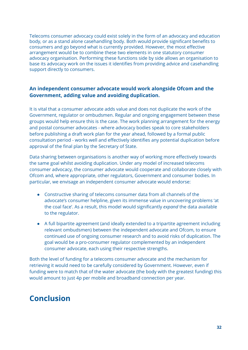Telecoms consumer advocacy could exist solely in the form of an advocacy and education body, or as a stand alone casehandling body. Both would provide significant benefits to consumers and go beyond what is currently provided. However, the most effective arrangement would be to combine these two elements in one statutory consumer advocacy organisation. Performing these functions side by side allows an organisation to base its advocacy work on the issues it identifies from providing advice and casehandling support directly to consumers.

#### **An independent consumer advocate would work alongside Ofcom and the Government, adding value and avoiding duplication.**

It is vital that a consumer advocate adds value and does not duplicate the work of the Government, regulator or ombudsmen. Regular and ongoing engagement between these groups would help ensure this is the case. The work planning arrangement for the energy and postal consumer advocates - where advocacy bodies speak to core stakeholders before publishing a draft work plan for the year ahead, followed by a formal public consultation period - works well and effectively identifies any potential duplication before approval of the final plan by the Secretary of State.

Data sharing between organisations is another way of working more effectively towards the same goal whilst avoiding duplication. Under any model of increased telecoms consumer advocacy, the consumer advocate would cooperate and collaborate closely with Ofcom and, where appropriate, other regulators, Government and consumer bodies. In particular, we envisage an independent consumer advocate would endorse:

- Constructive sharing of telecoms consumer data from all channels of the advocate's consumer helpline, given its immense value in uncovering problems 'at the coal face'. As a result, this model would significantly *expand* the data available to the regulator.
- A full bipartite agreement (and ideally extended to a tripartite agreement including relevant ombudsmen) between the independent advocate and Ofcom, to ensure continued use of ongoing consumer research and to avoid risks of duplication. The goal would be a pro-consumer regulator complemented by an independent consumer advocate, each using their respective strengths.

Both the level of funding for a telecoms consumer advocate and the mechanism for retrieving it would need to be carefully considered by Government. However, even if funding were to match that of the water advocate (the body with the greatest funding) this would amount to just 4p per mobile and broadband connection per year.

# **Conclusion**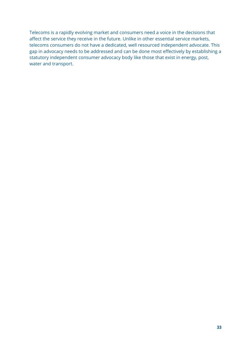Telecoms is a rapidly evolving market and consumers need a voice in the decisions that affect the service they receive in the future. Unlike in other essential service markets, telecoms consumers do not have a dedicated, well resourced independent advocate. This gap in advocacy needs to be addressed and can be done most effectively by establishing a statutory independent consumer advocacy body like those that exist in energy, post, water and transport.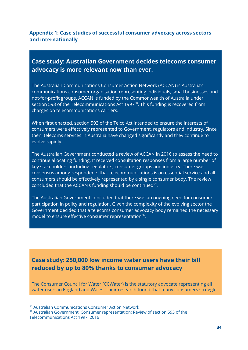#### **Appendix 1: Case studies of successful consumer advocacy across sectors and internationally**

#### **Case study: Australian Government decides telecoms consumer advocacy is more relevant now than ever.**

The Australian Communications Consumer Action Network (ACCAN) is Australia's communications consumer organisation representing individuals, small businesses and not-for-profit groups. ACCAN is funded by the Commonwealth of Australia under section 593 of the Telecommunications Act 1997<sup>58</sup>. This funding is recovered from charges on telecommunications carriers.

When first enacted, section 593 of the Telco Act intended to ensure the interests of consumers were effectively represented to Government, regulators and industry. Since then, telecoms services in Australia have changed significantly and they continue to evolve rapidly.

The Australian Government conducted a review of ACCAN in 2016 to assess the need to continue allocating funding. It received consultation responses from a large number of key stakeholders, including regulators, consumer groups and industry. There was consensus among respondents that telecommunications is an essential service and all consumers should be effectively represented by a single consumer body. The review concluded that the ACCAN's funding should be continued $59$ .

The Australian Government concluded that there was an ongoing need for consumer participation in policy and regulation. Given the complexity of the evolving sector the Government decided that a telecoms consumer advocacy body remained the necessary model to ensure effective consumer representation<sup>26</sup>.

### **Case study: 250,000 low income water users have their bill reduced by up to 80% thanks to consumer advocacy**

The Consumer Council for Water (CCWater) is the statutory advocate representing all water users in England and Wales. Their research found that many consumers struggle

<sup>58</sup> Australian Communications Consumer Action Network

<sup>59</sup> Australian Government, Consumer representation: Review of section 593 of the Telecommunications Act 1997, 2016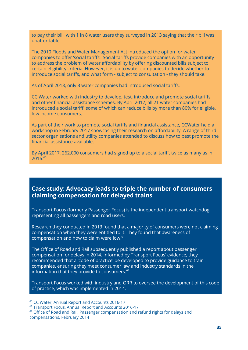to pay their bill, with 1 in 8 water users they surveyed in 2013 saying that their bill was unaffordable.

The 2010 Floods and Water Management Act introduced the option for water companies to offer 'social tariffs'. Social tariffs provide companies with an opportunity to address the problem of water affordability by offering discounted bills subject to certain eligibility criteria. However, it is up to water companies to decide whether to introduce social tariffs, and what form - subject to consultation - they should take.

As of April 2013, only 3 water companies had introduced social tariffs.

CC Water worked with industry to develop, test, introduce and promote social tariffs and other financial assistance schemes. By April 2017, all 21 water companies had introduced a social tariff, some of which can reduce bills by more than 80% for eligible, low income consumers.

As part of their work to promote social tariffs and financial assistance, CCWater held a workshop in February 2017 showcasing their research on affordability. A range of third sector organisations and utility companies attended to discuss how to best promote the financial assistance available.

By April 2017, 262,000 consumers had signed up to a social tariff, twice as many as in 2016. 60

#### **Case study: Advocacy leads to triple the number of consumers claiming compensation for delayed trains**

Transport Focus (formerly Passenger Focus) is the independent transport watchdog, representing all passengers and road users.

Research they conducted in 2013 found that a majority of consumers were not claiming compensation when they were entitled to it. They found that awareness of compensation and how to claim were low. 61

The Office of Road and Rail subsequently published a report about passenger compensation for delays in 2014. Informed by Transport Focus' evidence, they recommended that a 'code of practice' be developed to provide guidance to train companies, ensuring they meet consumer law and industry standards in the information that they provide to consumers. $^{62}$ 

Transport Focus worked with industry and ORR to oversee the development of this code of practice, which was implemented in 2014.

<sup>60</sup> CC Water, Annual Report and Accounts 2016-17

<sup>61</sup> Transport Focus, Annual Report and Accounts 2016-17

<sup>&</sup>lt;sup>62</sup> Office of Road and Rail, Passenger compensation and refund rights for delays and compensations, February 2014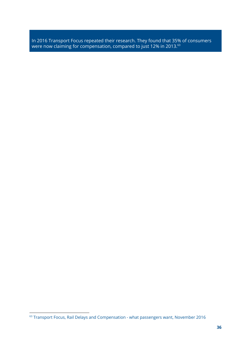In 2016 Transport Focus repeated their research. They found that 35% of consumers were now claiming for compensation, compared to just 12% in 2013. $^{\rm 63}$ 

<sup>63</sup> Transport Focus, Rail Delays and Compensation - what passengers want, November 2016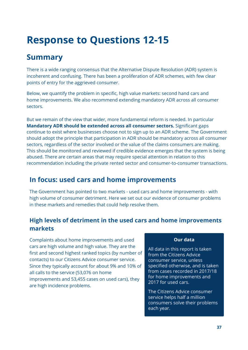# **Response to Questions 12-15**

# **Summary**

There is a wide ranging consensus that the Alternative Dispute Resolution (ADR) system is incoherent and confusing. There has been a proliferation of ADR schemes, with few clear points of entry for the aggrieved consumer.

Below, we quantify the problem in specific, high value markets: second hand cars and home improvements. We also recommend extending mandatory ADR across all consumer sectors.

But we remain of the view that wider, more fundamental reform is needed. In particular **Mandatory ADR should be extended across all consumer sectors.** Significant gaps continue to exist where businesses choose not to sign up to an ADR scheme. The Government should adopt the principle that participation in ADR should be mandatory across all consumer sectors, regardless of the sector involved or the value of the claims consumers are making. This should be monitored and reviewed if credible evidence emerges that the system is being abused. There are certain areas that may require special attention in relation to this recommendation including the private rented sector and consumer-to-consumer transactions.

### **In focus: used cars and home improvements**

The Government has pointed to two markets - used cars and home improvements - with high volume of consumer detriment. Here we set out our evidence of consumer problems in these markets and remedies that could help resolve them.

### **High levels of detriment in the used cars and home improvements markets**

Complaints about home improvements and used cars are high volume and high value. They are the first and second highest ranked topics (by number of contacts) to our Citizens Advice consumer service. Since they typically account for about 9% and 10% of all calls to the service (53,076 on home improvements and 53,455 cases on used cars), they are high incidence problems.

#### Our data

All data in this report is taken from the Citizens Advice consumer service, unless specified otherwise, and is taken from cases recorded in 2017/18 for home improvements and 2017 for used cars.

The Citizens Advice consumer service helps half a million consumers solve their problems each year.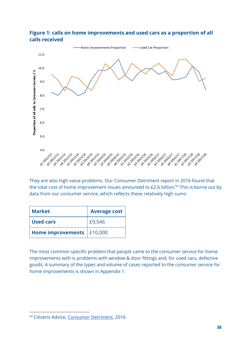

#### **Figure 1: calls on home improvements and used cars as a proportion of all calls received**

They are also high value problems. Our Consumer Detriment report in 2016 found that the total cost of home improvement issues amounted to  $£2.6$  billion. $64$  This is borne out by data from our consumer service, which reflects these relatively high sums:

| <b>Market</b>               | <b>Average cost</b> |
|-----------------------------|---------------------|
| <b>Used cars</b>            | £9,546              |
| Home improvements   £10,000 |                     |

The most common specific problem that people came to the consumer service for home improvements with is problems with window & door fittings and, for used cars, defective goods. A summary of the types and volume of cases reported to the consumer service for home improvements is shown in Appendix 1.

<sup>64</sup> Citizens Advice, [Consumer](https://www.citizensadvice.org.uk/Global/CitizensAdvice/Consumer%20publications/Final_ConsumerDetriment_OE.pdf) Detriment, 2016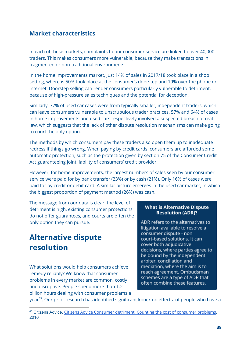#### **Market characteristics**

In each of these markets, complaints to our consumer service are linked to over 40,000 traders. This makes consumers more vulnerable, because they make transactions in fragmented or non-traditional environments.

In the home improvements market, just 14% of sales in 2017/18 took place in a shop setting, whereas 50% took place at the consumer's doorstep and 19% over the phone or internet. Doorstep selling can render consumers particularly vulnerable to detriment, because of high-pressure sales techniques and the potential for deception.

Similarly, 77% of used car cases were from typically smaller, independent traders, which can leave consumers vulnerable to unscrupulous trader practices. 57% and 64% of cases in home improvements and used cars respectively involved a suspected breach of civil law, which suggests that the lack of other dispute resolution mechanisms can make going to court the only option.

The methods by which consumers pay these traders also open them up to inadequate redress if things go wrong. When paying by credit cards, consumers are afforded some automatic protection, such as the protection given by section 75 of the Consumer Credit Act guaranteeing joint liability of consumers' credit provider.

However, for home improvements, the largest numbers of sales seen by our consumer service were paid for by bank transfer (23%) or by cash (21%). Only 16% of cases were paid for by credit or debit card. A similar picture emerges in the used car market, in which the biggest proportion of payment method (26%) was cash.

The message from our data is clear: the level of detriment is high, existing consumer protections do not offer guarantees, and courts are often the only option they can pursue.

# **Alternative dispute resolution**

What solutions would help consumers achieve remedy reliably? We know that consumer problems in every market are common, costly and disruptive. People spend more than 1.2 billion hours dealing with consumer problems a

#### **What is Alternative Dispute Resolution (ADR)?**

ADR refers to the alternatives to litigation available to resolve a consumer dispute - non court-based solutions. It can cover both adjudicative decisions, where parties agree to be bound by the independent arbiter, conciliation and mediation, where the aim is to reach agreement. Ombudsman schemes are a type of ADR that often combine these features.

year<sup>65</sup>. Our prior research has identified significant knock on effects: of people who have a

<sup>&</sup>lt;sup>65</sup> Citizens Advice, Citizens Advice Consumer [detriment:](https://www.citizensadvice.org.uk/Global/CitizensAdvice/Consumer%20publications/Final_ConsumerDetriment_OE.pdf) Counting the cost of consumer problems, 2016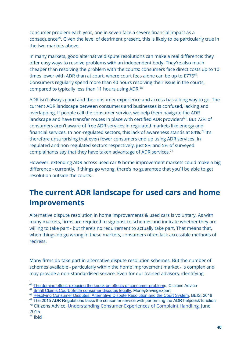consumer problem each year, one in seven face a severe financial impact as a consequence $^{66}$ . Given the level of detriment present, this is likely to be particularly true in the two markets above.

In many markets, good alternative dispute resolutions can make a real difference: they offer easy ways to resolve problems with an independent body. They're also much cheaper than resolving the problem with the courts: consumers face direct costs up to 10 times lower with ADR than at court, where court fees alone can be up to  $E775<sup>67</sup>$ . Consumers regularly spend more than 40 hours resolving their issue in the courts, compared to typically less than 11 hours using ADR.<sup>68</sup>

ADR isn't always good and the consumer experience and access has a long way to go. The current ADR landscape between consumers and businesses is confused, lacking and overlapping. If people call the consumer service, we help them navigate the ADR landscape and have transfer routes in place with certified ADR providers<sup>69</sup>. But 72% of consumers aren't aware of free ADR services in regulated markets like energy and financial services. In non-regulated sectors, this lack of awareness stands at 84%. $^{70}$  It's therefore unsurprising that even fewer consumers end up using ADR services. In regulated and non-regulated sectors respectively, just 8% and 5% of surveyed complainants say that they have taken advantage of ADR services. $71$ 

However, extending ADR across used car & home improvement markets could make a big difference - currently, if things go wrong, there's no guarantee that you'll be able to get resolution outside the courts.

# **The current ADR landscape for used cars and home improvements**

Alternative dispute resolution in home improvements & used cars is voluntary. As with many markets, firms are required to signpost to schemes and indicate whether they are willing to take part - but there's no requirement to actually take part. That means that, when things do go wrong in these markets, consumers often lack accessible methods of redress.

Many firms do take part in alternative dispute resolution schemes. But the number of schemes available - particularly within the home improvement market - is complex and may provide a non-standardised service. Even for our trained advisors, identifying

71 Ibid

<sup>&</sup>lt;sup>66</sup> The domino effect: exposing the knock on effects of [consumer](https://www.citizensadvice.org.uk/about-us/policy/policy-research-topics/consumer-policy-research/consumer-policy-research/the-domino-effect/) problems, Citizens Advice

<sup>&</sup>lt;sup>67</sup> Small Claims Court: Settle [consumer](https://www.moneysavingexpert.com/reclaim/small-claims-court/) disputes legally, MoneySavingExpert

<sup>&</sup>lt;sup>68</sup> Resolving Consumer Disputes: Alternative Dispute [Resolution](https://assets.publishing.service.gov.uk/government/uploads/system/uploads/attachment_data/file/698442/Final_report_-_Resolving_consumer_disputes.pdf) and the Court System, BEIS, 2018

<sup>&</sup>lt;sup>69</sup> The 2015 ADR Regulations tasks the consumer service with performing the ADR helpdesk function <sup>70</sup> Citizens Advice, [Understanding](https://www.citizensadvice.org.uk/Global/CitizensAdvice/Consumer%20publications/Understanding%20consumer%20experiences%20of%20complaint%20handling_DJS%20report%20final_June2016%20(2)%20(1).pdf) Consumer Experiences of Complaint Handling, June 2016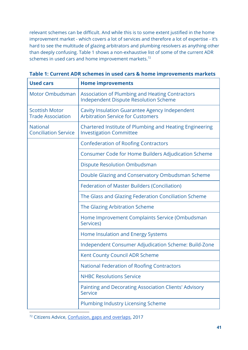relevant schemes can be difficult. And while this is to some extent justified in the home improvement market - which covers a lot of services and therefore a lot of expertise - it's hard to see the multitude of glazing arbitrators and plumbing resolvers as anything other than deeply confusing. Table 1 shows a non-exhaustive list of some of the current ADR schemes in used cars and home improvement markets. $72$ 

| <b>Used cars</b>                                  | <b>Home improvements</b>                                                                               |
|---------------------------------------------------|--------------------------------------------------------------------------------------------------------|
| <b>Motor Ombudsman</b>                            | <b>Association of Plumbing and Heating Contractors</b><br><b>Independent Dispute Resolution Scheme</b> |
| <b>Scottish Motor</b><br><b>Trade Association</b> | Cavity Insulation Guarantee Agency Independent<br><b>Arbitration Service for Customers</b>             |
| <b>National</b><br><b>Conciliation Service</b>    | <b>Chartered Institute of Plumbing and Heating Engineering</b><br><b>Investigation Committee</b>       |
|                                                   | <b>Confederation of Roofing Contractors</b>                                                            |
|                                                   | <b>Consumer Code for Home Builders Adjudication Scheme</b>                                             |
|                                                   | <b>Dispute Resolution Ombudsman</b>                                                                    |
|                                                   | Double Glazing and Conservatory Ombudsman Scheme                                                       |
|                                                   | <b>Federation of Master Builders (Conciliation)</b>                                                    |
|                                                   | The Glass and Glazing Federation Conciliation Scheme                                                   |
|                                                   | The Glazing Arbitration Scheme                                                                         |
|                                                   | Home Improvement Complaints Service (Ombudsman<br>Services)                                            |
|                                                   | Home Insulation and Energy Systems                                                                     |
|                                                   | Independent Consumer Adjudication Scheme: Build-Zone                                                   |
|                                                   | Kent County Council ADR Scheme                                                                         |
|                                                   | <b>National Federation of Roofing Contractors</b>                                                      |
|                                                   | <b>NHBC Resolutions Service</b>                                                                        |
|                                                   | <b>Painting and Decorating Association Clients' Advisory</b><br><b>Service</b>                         |
|                                                   | <b>Plumbing Industry Licensing Scheme</b>                                                              |

**Table 1: Current ADR schemes in used cars & home improvements markets**

<sup>72</sup> Citizens Advice, [Confusion,](https://www.citizensadvice.org.uk/Global/CitizensAdvice/Consumer%20publications/Gaps%20overlaps%20consumer%20confusion%20201704.pdf) gaps and overlaps, 2017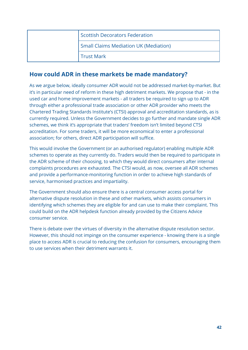| Scottish Decorators Federation               |
|----------------------------------------------|
| <b>Small Claims Mediation UK (Mediation)</b> |
| <b>Trust Mark</b>                            |

#### **How could ADR in these markets be made mandatory?**

As we argue below, ideally consumer ADR would not be addressed market-by-market. But it's in particular need of reform in these high detriment markets. We propose that - in the used car and home improvement markets - all traders be required to sign up to ADR through either a professional trade association or other ADR provider who meets the Chartered Trading Standards Institute's (CTSI) approval and accreditation standards, as is currently required. Unless the Government decides to go further and mandate single ADR schemes, we think it's appropriate that traders' freedom isn't limited beyond CTSI accreditation. For some traders, it will be more economical to enter a professional association; for others, direct ADR participation will suffice.

This would involve the Government (or an authorised regulator) enabling multiple ADR schemes to operate as they currently do. Traders would then be required to participate in the ADR scheme of their choosing, to which they would direct consumers after internal complaints procedures are exhausted. The CTSI would, as now, oversee all ADR schemes and provide a performance-monitoring function in order to achieve high standards of service, harmonised practices and impartiality.

The Government should also ensure there is a central consumer access portal for alternative dispute resolution in these and other markets, which assists consumers in identifying which schemes they are eligible for and can use to make their complaint. This could build on the ADR helpdesk function already provided by the Citizens Advice consumer service.

There is debate over the virtues of diversity in the alternative dispute resolution sector. However, this should not impinge on the consumer experience - knowing there is a single place to access ADR is crucial to reducing the confusion for consumers, encouraging them to use services when their detriment warrants it.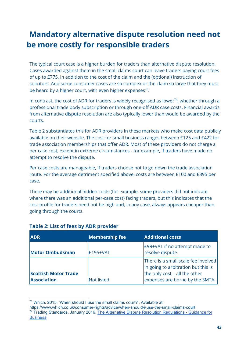# **Mandatory alternative dispute resolution need not be more costly for responsible traders**

The typical court case is a higher burden for traders than alternative dispute resolution. Cases awarded against them in the small claims court can leave traders paying court fees of up to £775, in addition to the cost of the claim and the (optional) instruction of solicitors. And some consumer cases are so complex or the claim so large that they must be heard by a higher court, with even higher expenses<sup>73</sup>.

In contrast, the cost of ADR for traders is widely recognised as lower<sup>74</sup>, whether through a professional trade body subscription or through one-off ADR case costs. Financial awards from alternative dispute resolution are also typically lower than would be awarded by the courts.

Table 2 substantiates this for ADR providers in these markets who make cost data publicly available on their website. The cost for small business ranges between £125 and £422 for trade association memberships that offer ADR. Most of these providers do not charge a per case cost, except in extreme circumstances - for example, if traders have made no attempt to resolve the dispute.

Per case costs are manageable, if traders choose not to go down the trade association route. For the average detriment specified above, costs are between £100 and £395 per case.

There may be additional hidden costs (for example, some providers did not indicate where there was an additional per-case cost) facing traders, but this indicates that the cost profile for traders need not be high and, in any case, always appears cheaper than going through the courts.

| <b>ADR</b>                                        | <b>Membership fee</b> | <b>Additional costs</b>                                                                                                                        |
|---------------------------------------------------|-----------------------|------------------------------------------------------------------------------------------------------------------------------------------------|
| <b>Motor Ombudsman</b>                            | £195+VAT              | E99+VAT if no attempt made to<br>resolve dispute                                                                                               |
| <b>Scottish Motor Trade</b><br><b>Association</b> | <b>Not listed</b>     | There is a small scale fee involved<br>in going to arbitration but this is<br>the only cost - all the other<br>expenses are borne by the SMTA. |

#### **Table 2: List of fees by ADR provider**

<sup>73</sup> Which. 2015. 'When should I use the small claims court?'. Available at:

https://www.which.co.uk/consumer-rights/advice/when-should-i-use-the-small-claims-court <sup>74</sup> Trading Standards, January 2016, The Alternative Dispute Resolution [Regulations](https://www.tradingstandards.uk/media/documents/commercial/adr/adr-business-guidance-inc-odr-jan-2016.pdf) - Guidance for **[Business](https://www.tradingstandards.uk/media/documents/commercial/adr/adr-business-guidance-inc-odr-jan-2016.pdf)**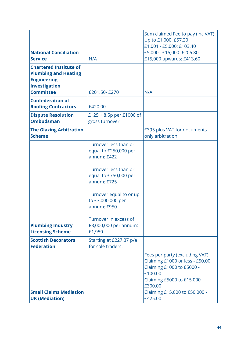| <b>National Conciliation</b><br><b>Service</b>                                                                          | N/A                                                                                                                                                                                                                                                       | Sum claimed Fee to pay (inc VAT)<br>Up to £1,000: £57.20<br>£1,001 - £5,000: £103.40<br>£5,000 - £15,000: £206.80<br>£15,000 upwards: £413.60                                                 |
|-------------------------------------------------------------------------------------------------------------------------|-----------------------------------------------------------------------------------------------------------------------------------------------------------------------------------------------------------------------------------------------------------|-----------------------------------------------------------------------------------------------------------------------------------------------------------------------------------------------|
| <b>Chartered Institute of</b><br><b>Plumbing and Heating</b><br><b>Engineering</b><br>Investigation<br><b>Committee</b> |                                                                                                                                                                                                                                                           |                                                                                                                                                                                               |
|                                                                                                                         | £201.50-£270                                                                                                                                                                                                                                              | N/A                                                                                                                                                                                           |
| <b>Confederation of</b><br><b>Roofing Contractors</b>                                                                   | £420.00                                                                                                                                                                                                                                                   |                                                                                                                                                                                               |
| <b>Dispute Resolution</b><br><b>Ombudsman</b>                                                                           | £125 + 8.5p per £1000 of<br>gross turnover                                                                                                                                                                                                                |                                                                                                                                                                                               |
| <b>The Glazing Arbitration</b><br><b>Scheme</b>                                                                         |                                                                                                                                                                                                                                                           | £395 plus VAT for documents<br>only arbitration                                                                                                                                               |
| <b>Plumbing Industry</b><br><b>Licensing Scheme</b>                                                                     | Turnover less than or<br>equal to £250,000 per<br>annum: £422<br>Turnover less than or<br>equal to £750,000 per<br>annum: £725<br>Turnover equal to or up<br>to £3,000,000 per<br>annum: £950<br>Turnover in excess of<br>£3,000,000 per annum:<br>£1,950 |                                                                                                                                                                                               |
| <b>Scottish Decorators</b><br><b>Federation</b>                                                                         | Starting at £227.37 p/a<br>for sole traders.                                                                                                                                                                                                              |                                                                                                                                                                                               |
| <b>Small Claims Mediation</b><br><b>UK (Mediation)</b>                                                                  |                                                                                                                                                                                                                                                           | Fees per party (excluding VAT)<br>Claiming £1000 or less - £50.00<br>Claiming £1000 to £5000 -<br>£100.00<br>Claiming £5000 to £15,000<br>£300.00<br>Claiming £15,000 to £50,000 -<br>£425.00 |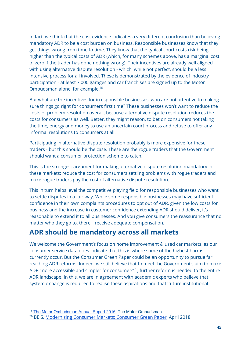In fact, we think that the cost evidence indicates a very different conclusion than believing mandatory ADR to be a cost burden on business. Responsible businesses know that they get things wrong from time to time. They know that the typical court costs risk being higher than the typical costs of ADR (which, for many schemes above, has a marginal cost of zero if the trader has done nothing wrong). Their incentives are already well aligned with using alternative dispute resolution - which, while not perfect, should be a less intensive process for all involved. These is demonstrated by the evidence of industry participation - at least 7,000 garages and car franchises are signed up to the Motor Ombudsman alone, for example. 75

But what are the incentives for irresponsible businesses, who are not attentive to making sure things go right for consumers first time? These businesses won't want to reduce the costs of problem resolution overall, because alternative dispute resolution reduces the costs for consumers as well. Better, they might reason, to bet on consumers not taking the time, energy and money to use an uncertain court process and refuse to offer any informal resolutions to consumers at all.

Participating in alternative dispute resolution probably is more expensive for these traders - but this should be the case. These are the rogue traders that the Government should want a consumer protection scheme to catch.

This is the strongest argument for making alternative dispute resolution mandatory in these markets: reduce the cost for consumers settling problems with rogue traders and make rogue traders pay the cost of alternative dispute resolution.

This in turn helps level the competitive playing field for responsible businesses who want to settle disputes in a fair way. While some responsible businesses may have sufficient confidence in their own complaints procedures to opt out of ADR, given the low costs for business and the increase in customer confidence extending ADR should deliver, it's reasonable to extend it to all businesses. And you give consumers the reassurance that no matter who they go to, there'll receive adequate compensation.

### **ADR should be mandatory across all markets**

We welcome the Government's focus on home improvement & used car markets, as our consumer service data does indicate that this is where some of the highest harms currently occur. But the Consumer Green Paper could be an opportunity to pursue far reaching ADR reforms. Indeed, we still believe that to meet the Government's aim to make ADR 'more accessible and simpler for consumers'<sup>76</sup>, further reform is needed to the entire ADR landscape. In this, we are in agreement with academic experts who believe that systemic change is required to realise these aspirations and that 'future institutional

<sup>&</sup>lt;sup>75</sup> The Motor [Ombudsman](https://www.themotorombudsman.org/wp-content/uploads/sites/9/2017/12/THE-2016-MOTOR-OMBUDSMAN-ANNUAL-REPORT.pdf) Annual Report 2016, The Motor Ombudsman

<sup>76</sup> BEIS, [Modernising](https://beisgovuk.citizenspace.com/ccp/consumer-green-paper/supporting_documents/Modernising%20Modern%20Consumer%20Green%20Paper.pdf) Consumer Markets: Consumer Green Paper, April 2018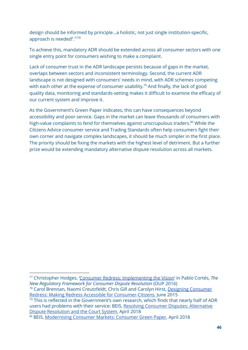design should be informed by principle...a holistic, not just single institution-specific, approach is needed".<sup>7778</sup>

To achieve this, mandatory ADR should be extended across all consumer sectors with one single entry point for consumers wishing to make a complaint.

Lack of consumer trust in the ADR landscape persists because of gaps in the market, overlaps between sectors and inconsistent terminology. Second, the current ADR landscape is not designed with consumers' needs in mind, with ADR schemes competing with each other at the expense of consumer usability.<sup>79</sup> And finally, the lack of good quality data, monitoring and standards-setting makes it difficult to examine the efficacy of our current system and improve it.

As the Government's Green Paper indicates, this can have consequences beyond accessibility and poor service. Gaps in the market can leave thousands of consumers with high-value complaints to fend for themselves against unscrupulous traders.<sup>80</sup> While the Citizens Advice consumer service and Trading Standards often help consumers fight their own corner and navigate complex landscapes, it should be much simpler in the first place. The priority should be fixing the markets with the highest level of detriment. But a further prize would be extending mandatory alternative dispute resolution across all markets.

Redress: Making Redress Accessible for [Consumer-Citizens,](http://www.fljs.org/sites/www.fljs.org/files/publications/Designing%20Consumer%20Redress.pdf) June 2015

 $79$  This is reflected in the Government's own research, which finds that nearly half of ADR users had problems with their service: BEIS, Resolving Consumer Disputes: [Alternative](https://assets.publishing.service.gov.uk/government/uploads/system/uploads/attachment_data/file/698442/Final_report_-_Resolving_consumer_disputes.pdf) Dispute [Resolution](https://assets.publishing.service.gov.uk/government/uploads/system/uploads/attachment_data/file/698442/Final_report_-_Resolving_consumer_disputes.pdf) and the Court System, April 2018

<sup>77</sup> Christopher Hodges, 'Consumer Redress: [Implementing](https://papers.ssrn.com/sol3/papers.cfm?abstract_id=2793603) the Vision' in Pablo Cortés, *The New Regulatory Framework for Consumer Dispute Resolution* (OUP 2016) <sup>78</sup> Carol Brennan, Naomi Creutzfeldt, Chris Gill and Carolyn Hirst, Designing [Consumer](http://www.fljs.org/sites/www.fljs.org/files/publications/Designing%20Consumer%20Redress.pdf)

<sup>80</sup> BEIS, [Modernising](https://beisgovuk.citizenspace.com/ccp/consumer-green-paper/supporting_documents/Modernising%20Modern%20Consumer%20Green%20Paper.pdf) Consumer Markets: Consumer Green Paper, April 2018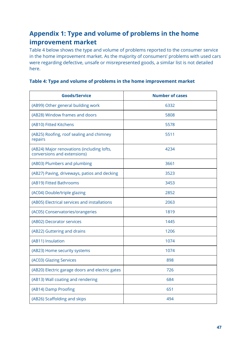### **Appendix 1: Type and volume of problems in the home improvement market**

Table 4 below shows the type and volume of problems reported to the consumer service in the home improvement market. As the majority of consumers' problems with used cars were regarding defective, unsafe or misrepresented goods, a similar list is not detailed here.

| <b>Goods/Service</b>                                                      | <b>Number of cases</b> |
|---------------------------------------------------------------------------|------------------------|
| (AB99) Other general building work                                        | 6332                   |
| (AB28) Window frames and doors                                            | 5808                   |
| (AB10) Fitted Kitchens                                                    | 5578                   |
| (AB25) Roofing, roof sealing and chimney<br>repairs                       | 5511                   |
| (AB24) Major renovations (including lofts,<br>conversions and extensions) | 4234                   |
| (AB03) Plumbers and plumbing                                              | 3661                   |
| (AB27) Paving, driveways, patios and decking                              | 3523                   |
| (AB19) Fitted Bathrooms                                                   | 3453                   |
| (AC04) Double/triple glazing                                              | 2852                   |
| (AB05) Electrical services and installations                              | 2063                   |
| (AC05) Conservatories/orangeries                                          | 1819                   |
| (AB02) Decorator services                                                 | 1445                   |
| (AB22) Guttering and drains                                               | 1206                   |
| (AB11) Insulation                                                         | 1074                   |
| (AB23) Home security systems                                              | 1074                   |
| (AC03) Glazing Services                                                   | 898                    |
| (AB20) Electric garage doors and electric gates                           | 726                    |
| (AB13) Wall coating and rendering                                         | 684                    |
| (AB14) Damp Proofing                                                      | 651                    |
| (AB26) Scaffolding and skips                                              | 494                    |

#### **Table 4: Type and volume of problems in the home improvement market**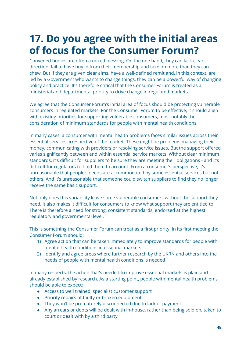# **17. Do you agree with the initial areas of focus for the Consumer Forum?**

Convened bodies are often a mixed blessing. On the one hand, they can lack clear direction, fail to have buy in from their membership and take on more than they can chew. But if they are given clear aims, have a well-defined remit and, in this context, are led by a Government who wants to change things, they can be a powerful way of changing policy and practice. It's therefore critical that the Consumer Forum is treated as a ministerial and departmental priority to drive change in regulated markets.

We agree that the Consumer Forum's initial area of focus should be protecting vulnerable consumers in regulated markets. For the Consumer Forum to be effective, it should align with existing priorities for supporting vulnerable consumers, most notably the consideration of minimum standards for people with mental health conditions.

In many cases, a consumer with mental health problems faces similar issues across their essential services, irrespective of the market. These might be problems managing their money, communicating with providers or resolving service issues. But the support offered varies significantly between and within essential service markets. Without clear minimum standards, it's difficult for suppliers to be sure they are meeting their obligations - and it's difficult for regulators to hold them to account. From a consumer's perspective, it's unreasonable that people's needs are accommodated by some essential services but not others. And it's unreasonable that someone could switch suppliers to find they no longer receive the same basic support.

Not only does this variability leave some vulnerable consumers without the support they need, it also makes it difficult for consumers to know what support they are entitled to. There is therefore a need for strong, consistent standards, endorsed at the highest regulatory and governmental level.

This is something the Consumer Forum can treat as a first priority. In its first meeting the Consumer Forum should:

- 1) Agree action that can be taken immediately to improve standards for people with mental health conditions in essential markets
- 2) Identify and agree areas where further research by the UKRN and others into the needs of people with mental health conditions is needed

In many respects, the action that's needed to improve essential markets is plain and already established by research. As a starting point, people with mental health problems should be able to expect:

- Access to well trained, specialist customer support
- Priority repairs of faulty or broken equipment
- They won't be prematurely disconnected due to lack of payment
- Any arrears or debts will be dealt with in-house, rather than being sold on, taken to court or dealt with by a third party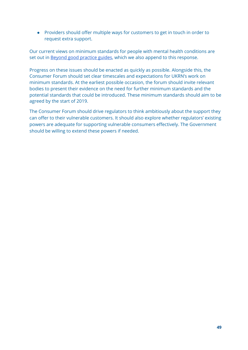● Providers should offer multiple ways for customers to get in touch in order to request extra support.

Our current views on minimum standards for people with mental health conditions are set out in Beyond good [practice](https://www.citizensadvice.org.uk/about-us/policy/policy-research-topics/consumer-policy-research/consumer-policy-research/beyond-good-practice-guides-improving-support-with-essential-services-for-people-with-mental-health-problems/) guides, which we also append to this response.

Progress on these issues should be enacted as quickly as possible. Alongside this, the Consumer Forum should set clear timescales and expectations for UKRN's work on minimum standards. At the earliest possible occasion, the forum should invite relevant bodies to present their evidence on the need for further minimum standards and the potential standards that could be introduced. These minimum standards should aim to be agreed by the start of 2019.

The Consumer Forum should drive regulators to think ambitiously about the support they can offer to their vulnerable customers. It should also explore whether regulators' existing powers are adequate for supporting vulnerable consumers effectively. The Government should be willing to extend these powers if needed.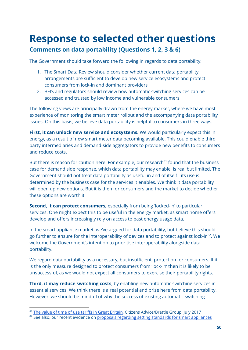# **Response to selected other questions Comments on data portability (Questions 1, 2, 3 & 6)**

The Government should take forward the following in regards to data portability:

- 1. The Smart Data Review should consider whether current data portability arrangements are sufficient to develop new service ecosystems and protect consumers from lock-in and dominant providers
- 2. BEIS and regulators should review how automatic switching services can be accessed and trusted by low income and vulnerable consumers

The following views are principally drawn from the energy market, where we have most experience of monitoring the smart meter rollout and the accompanying data portability issues. On this basis, we believe data portability is helpful to consumers in three ways:

**First, it can unlock new service and ecosystems.** We would particularly expect this in energy, as a result of new smart meter data becoming available. This could enable third party intermediaries and demand-side aggregators to provide new benefits to consumers and reduce costs.

But there is reason for caution here. For example, our research<sup>81</sup> found that the business case for demand side response, which data portability may enable, is real but limited. The Government should not treat data portability as useful in and of itself - its use is determined by the business case for the services it enables. We think it data portability will open up new options. But it is then for consumers and the market to decide whether these options are worth it.

**Second, it can protect consumers,** especially from being 'locked-in' to particular services. One might expect this to be useful in the energy market, as smart home offers develop and offers increasingly rely on access to past energy usage data.

In the smart appliance market, we've argued for data portability, but believe this should go further to ensure for the interoperability of devices and to protect against lock-in $^{82}$ . We welcome the Government's intention to prioritise interoperability alongside data portability.

We regard data portability as a necessary, but insufficient, protection for consumers. If it is the only measure designed to protect consumers from 'lock-in' then it is likely to be unsuccessful, as we would not expect all consumers to exercise their portability rights.

**Third, it may reduce switching costs**, by enabling new automatic switching services in essential services. We think there is a real potential and prize here from data portability. However, we should be mindful of why the success of existing automatic switching

<sup>&</sup>lt;sup>81</sup> The value of time of use tariffs in Great [Britain](https://www.citizensadvice.org.uk/about-us/policy/policy-research-topics/energy-policy-research-and-consultation-responses/energy-policy-research/the-value-of-time-of-use-tariffs-in-great-britain/), Citizens Advice/Brattle Group, July 2017

<sup>&</sup>lt;sup>82</sup> See also, our recent evidence on proposals regarding setting standards for smart [appliances](https://www.citizensadvice.org.uk/Global/CitizensAdvice/Energy/Energy%20Consultation%20responses/Citizens%20Advice%20response%20to%20Proposals%20regarding%20setting%20standards%20for%20smart%20appliances.pdf)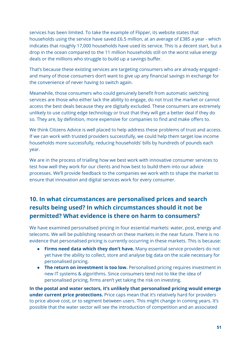services has been limited. To take the example of Flipper, its website states that households using the service have saved £6.5 million, at an average of £385 a year - which indicates that roughly 17,000 households have used its service. This is a decent start, but a drop in the ocean compared to the 11 million households still on the worst value energy deals or the millions who struggle to build up a savings buffer.

That's because these existing services are targeting consumers who are already engaged and many of those consumers don't want to give up any financial savings in exchange for the convenience of never having to switch again.

Meanwhile, those consumers who could genuinely benefit from automatic switching services are those who either lack the ability to engage, do not trust the market or cannot access the best deals because they are digitally excluded. These consumers are extremely unlikely to use cutting edge technology or trust that they will get a better deal if they do so. They are, by definition, more expensive for companies to find and make offers to.

We think Citizens Advice is well placed to help address these problems of trust and access. If we can work with trusted providers successfully, we could help them target low income households more successfully, reducing households' bills by hundreds of pounds each year.

We are in the process of trialling how we best work with innovative consumer services to test how well they work for our clients and how best to build them into our advice processes. We'll provide feedback to the companies we work with to shape the market to ensure that innovation and digital services work for every consumer.

### **10. In what circumstances are personalised prices and search results being used? In which circumstances should it not be permitted? What evidence is there on harm to consumers?**

We have examined personalised pricing in four essential markets: water, post, energy and telecoms. We will be publishing research on these markets in the near future. There is no evidence that personalised pricing is currently occurring in these markets. This is because:

- **Firms need data which they don't have.** Many essential service providers do not yet have the ability to collect, store and analyse big data on the scale necessary for personalised pricing.
- **The return on investment is too low.** Personalised pricing requires investment in new IT systems & algorithms. Since consumers tend not to like the idea of personalised pricing, firms aren't yet taking the risk on investing.

**In the postal and water sectors, it's unlikely that personalised pricing would emerge under current price protections.** Price caps mean that it's relatively hard for providers to price above cost, or to segment between users. This might change in coming years. It's possible that the water sector will see the introduction of competition and an associated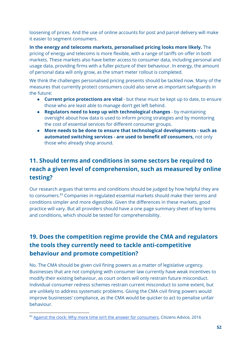loosening of prices. And the use of online accounts for post and parcel delivery will make it easier to segment consumers.

**In the energy and telecoms markets, personalised pricing looks more likely.** The pricing of energy and telecoms is more flexible, with a range of tariffs on offer in both markets. These markets also have better access to consumer data, including personal and usage data, providing firms with a fuller picture of their behaviour. In energy, the amount of personal data will only grow, as the smart meter rollout is completed.

We think the challenges personalised pricing presents should be tackled now. Many of the measures that currently protect consumers could also serve as important safeguards in the future:

- **Current price protections are vital** but these must be kept up to date, to ensure those who are least able to manage don't get left behind.
- **Regulators need to keep up with technological changes** by maintaining oversight about how data is used to inform pricing strategies and by monitoring the cost of essential services for different consumer groups.
- **More needs to be done to ensure that technological developments - such as automated switching services - are used to benefit** *all* **consumers,** not only those who already shop around.

### **11. Should terms and conditions in some sectors be required to reach a given level of comprehension, such as measured by online testing?**

Our research argues that terms and conditions should be judged by how helpful they are to consumers.<sup>83</sup> Companies in regulated essential markets should make their terms and conditions simpler and more digestible. Given the differences in these markets, good practice will vary. But all providers should have a one page summary sheet of key terms and conditions, which should be tested for comprehensibility.

### **19. Does the competition regime provide the CMA and regulators the tools they currently need to tackle anti-competitive behaviour and promote competition?**

No. The CMA should be given civil fining powers as a matter of legislative urgency. Businesses that are not complying with consumer law currently have weak incentives to modify their existing behaviour, as court orders will only restrain future misconduct. Individual consumer redress schemes restrain current misconduct to some extent, but are unlikely to address systematic problems. Giving the CMA civil fining powers would improve businesses' compliance, as the CMA would be quicker to act to penalise unfair behaviour.

<sup>&</sup>lt;sup>83</sup> Against the clock: Why more time isn't the answer for [consumers](https://www.citizensadvice.org.uk/Global/CitizensAdvice/Consumer%20publications/Finalreport-Againsttheclock.pdf), Citizens Advice, 2016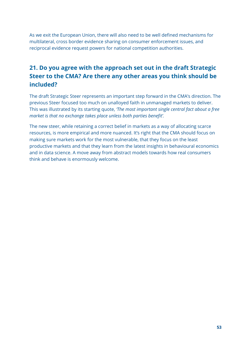As we exit the European Union, there will also need to be well defined mechanisms for multilateral, cross border evidence sharing on consumer enforcement issues, and reciprocal evidence request powers for national competition authorities.

### **21. Do you agree with the approach set out in the draft Strategic Steer to the CMA? Are there any other areas you think should be included?**

The draft Strategic Steer represents an important step forward in the CMA's direction. The previous Steer focused too much on unalloyed faith in unmanaged markets to deliver. This was illustrated by its starting quote, *'The most important single central fact about a free market is that no exchange takes place unless both parties benefit'.*

The new steer, while retaining a correct belief in markets as a way of allocating scarce resources, is more empirical and more nuanced. It's right that the CMA should focus on making sure markets work for the most vulnerable, that they focus on the least productive markets and that they learn from the latest insights in behavioural economics and in data science. A move away from abstract models towards how real consumers think and behave is enormously welcome.